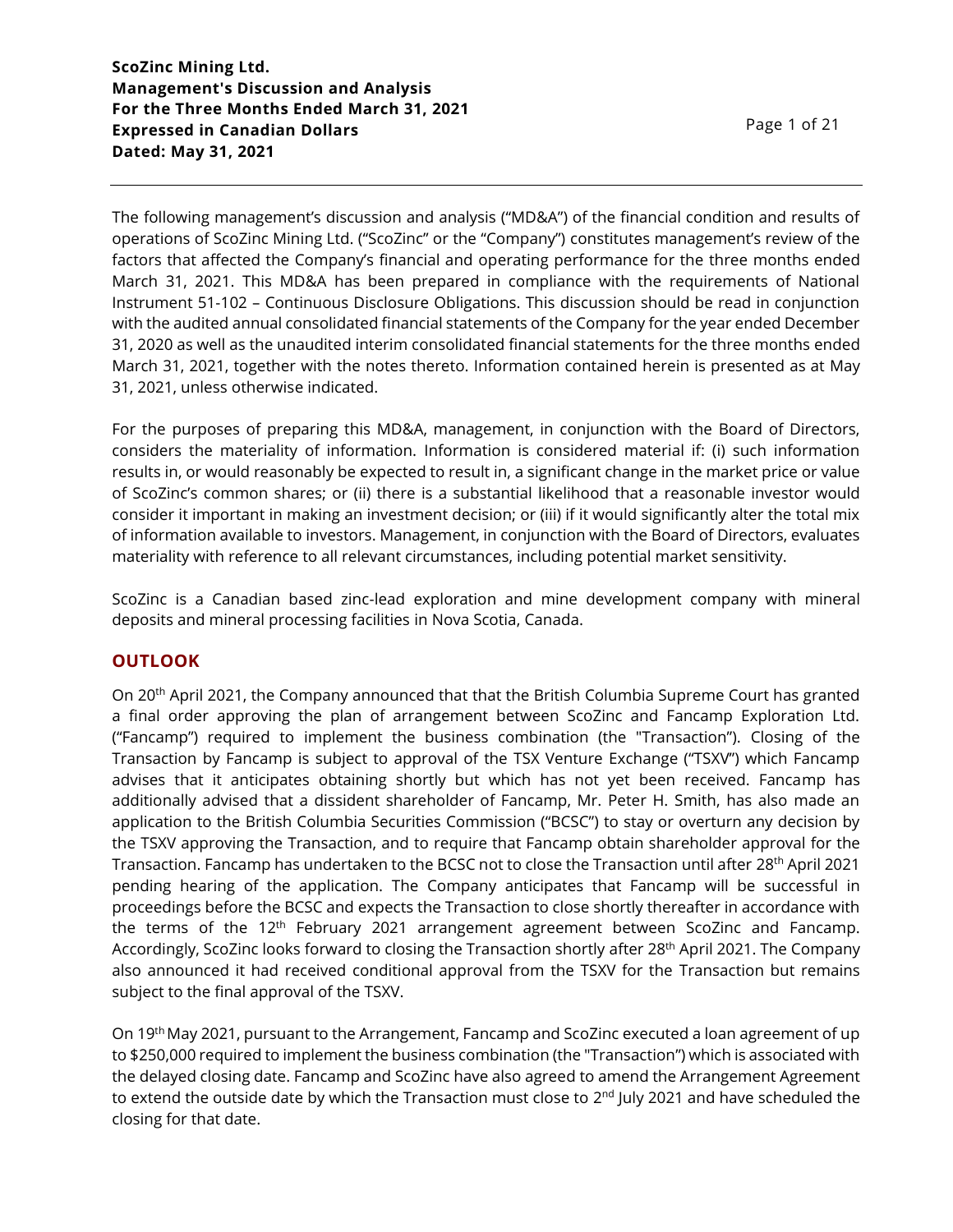The following management's discussion and analysis ("MD&A") of the financial condition and results of operations of ScoZinc Mining Ltd. ("ScoZinc" or the "Company") constitutes management's review of the factors that affected the Company's financial and operating performance for the three months ended March 31, 2021. This MD&A has been prepared in compliance with the requirements of National Instrument 51-102 – Continuous Disclosure Obligations. This discussion should be read in conjunction with the audited annual consolidated financial statements of the Company for the year ended December 31, 2020 as well as the unaudited interim consolidated financial statements for the three months ended March 31, 2021, together with the notes thereto. Information contained herein is presented as at May 31, 2021, unless otherwise indicated.

For the purposes of preparing this MD&A, management, in conjunction with the Board of Directors, considers the materiality of information. Information is considered material if: (i) such information results in, or would reasonably be expected to result in, a significant change in the market price or value of ScoZinc's common shares; or (ii) there is a substantial likelihood that a reasonable investor would consider it important in making an investment decision; or (iii) if it would significantly alter the total mix of information available to investors. Management, in conjunction with the Board of Directors, evaluates materiality with reference to all relevant circumstances, including potential market sensitivity.

ScoZinc is a Canadian based zinc-lead exploration and mine development company with mineral deposits and mineral processing facilities in Nova Scotia, Canada.

#### **OUTLOOK**

On 20th April 2021, the Company announced that that the British Columbia Supreme Court has granted a final order approving the plan of arrangement between ScoZinc and Fancamp Exploration Ltd. ("Fancamp") required to implement the business combination (the "Transaction"). Closing of the Transaction by Fancamp is subject to approval of the TSX Venture Exchange ("TSXV") which Fancamp advises that it anticipates obtaining shortly but which has not yet been received. Fancamp has additionally advised that a dissident shareholder of Fancamp, Mr. Peter H. Smith, has also made an application to the British Columbia Securities Commission ("BCSC") to stay or overturn any decision by the TSXV approving the Transaction, and to require that Fancamp obtain shareholder approval for the Transaction. Fancamp has undertaken to the BCSC not to close the Transaction until after 28<sup>th</sup> April 2021 pending hearing of the application. The Company anticipates that Fancamp will be successful in proceedings before the BCSC and expects the Transaction to close shortly thereafter in accordance with the terms of the  $12<sup>th</sup>$  February 2021 arrangement agreement between ScoZinc and Fancamp. Accordingly, ScoZinc looks forward to closing the Transaction shortly after 28<sup>th</sup> April 2021. The Company also announced it had received conditional approval from the TSXV for the Transaction but remains subject to the final approval of the TSXV.

On 19<sup>th</sup> May 2021, pursuant to the Arrangement, Fancamp and ScoZinc executed a loan agreement of up to \$250,000 required to implement the business combination (the "Transaction") which is associated with the delayed closing date. Fancamp and ScoZinc have also agreed to amend the Arrangement Agreement to extend the outside date by which the Transaction must close to 2<sup>nd</sup> July 2021 and have scheduled the closing for that date.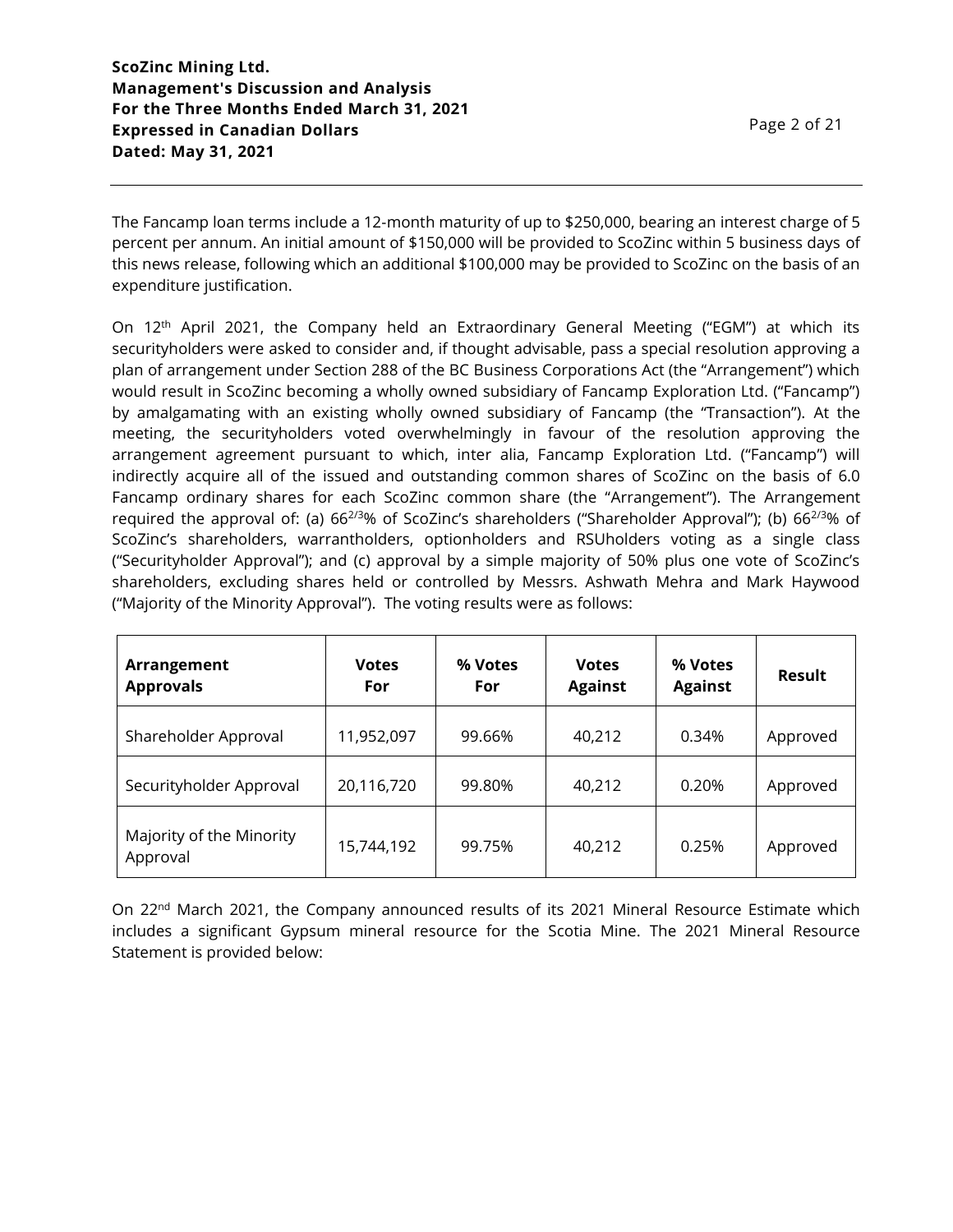Page 2 of 21

The Fancamp loan terms include a 12-month maturity of up to \$250,000, bearing an interest charge of 5 percent per annum. An initial amount of \$150,000 will be provided to ScoZinc within 5 business days of this news release, following which an additional \$100,000 may be provided to ScoZinc on the basis of an expenditure justification.

On 12<sup>th</sup> April 2021, the Company held an Extraordinary General Meeting ("EGM") at which its securityholders were asked to consider and, if thought advisable, pass a special resolution approving a plan of arrangement under Section 288 of the BC Business Corporations Act (the "Arrangement") which would result in ScoZinc becoming a wholly owned subsidiary of Fancamp Exploration Ltd. ("Fancamp") by amalgamating with an existing wholly owned subsidiary of Fancamp (the "Transaction"). At the meeting, the securityholders voted overwhelmingly in favour of the resolution approving the arrangement agreement pursuant to which, inter alia, Fancamp Exploration Ltd. ("Fancamp") will indirectly acquire all of the issued and outstanding common shares of ScoZinc on the basis of 6.0 Fancamp ordinary shares for each ScoZinc common share (the "Arrangement"). The Arrangement required the approval of: (a)  $66^{2/3}\%$  of ScoZinc's shareholders ("Shareholder Approval"); (b)  $66^{2/3}\%$  of ScoZinc's shareholders, warrantholders, optionholders and RSUholders voting as a single class ("Securityholder Approval"); and (c) approval by a simple majority of 50% plus one vote of ScoZinc's shareholders, excluding shares held or controlled by Messrs. Ashwath Mehra and Mark Haywood ("Majority of the Minority Approval"). The voting results were as follows:

| Arrangement<br><b>Approvals</b>      | <b>Votes</b><br>For | % Votes<br>For | <b>Votes</b><br><b>Against</b> | % Votes<br><b>Against</b> | Result   |
|--------------------------------------|---------------------|----------------|--------------------------------|---------------------------|----------|
| Shareholder Approval                 | 11,952,097          | 99.66%         | 40,212                         | 0.34%                     | Approved |
| Securityholder Approval              | 20,116,720          | 99.80%         | 40,212                         | 0.20%                     | Approved |
| Majority of the Minority<br>Approval | 15,744,192          | 99.75%         | 40,212                         | 0.25%                     | Approved |

On 22<sup>nd</sup> March 2021, the Company announced results of its 2021 Mineral Resource Estimate which includes a significant Gypsum mineral resource for the Scotia Mine. The 2021 Mineral Resource Statement is provided below: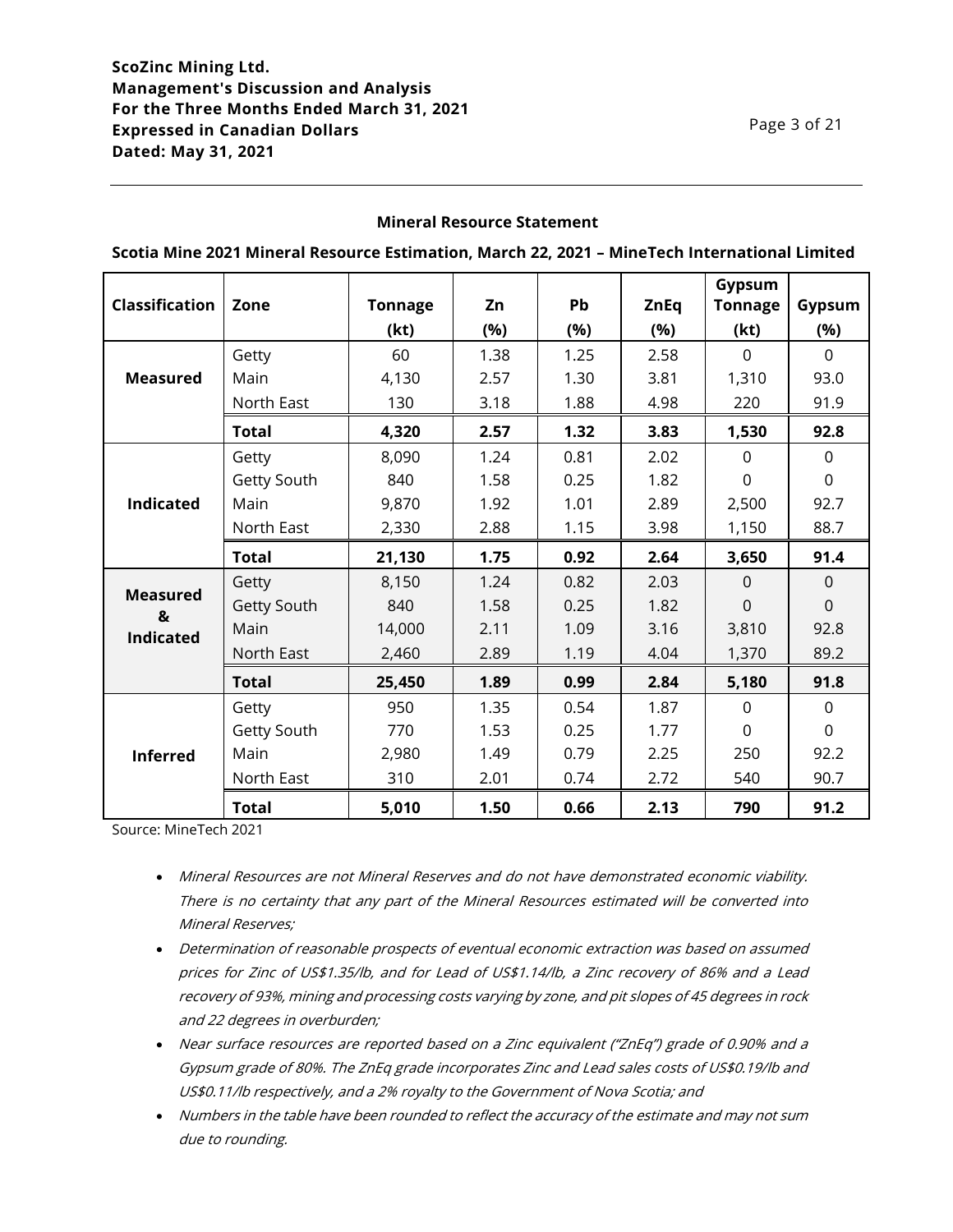### **Mineral Resource Statement**

|                       |              |                |      |           |             | Gypsum         |                |
|-----------------------|--------------|----------------|------|-----------|-------------|----------------|----------------|
| <b>Classification</b> | Zone         | <b>Tonnage</b> | Zn   | <b>Pb</b> | <b>ZnEq</b> | <b>Tonnage</b> | Gypsum         |
|                       |              | (kt)           | (%)  | (%)       | (%)         | (kt)           | (%)            |
|                       | Getty        | 60             | 1.38 | 1.25      | 2.58        | $\Omega$       | $\Omega$       |
| <b>Measured</b>       | Main         | 4,130          | 2.57 | 1.30      | 3.81        | 1,310          | 93.0           |
|                       | North East   | 130            | 3.18 | 1.88      | 4.98        | 220            | 91.9           |
|                       | <b>Total</b> | 4,320          | 2.57 | 1.32      | 3.83        | 1,530          | 92.8           |
|                       | Getty        | 8,090          | 1.24 | 0.81      | 2.02        | $\Omega$       | $\Omega$       |
|                       | Getty South  | 840            | 1.58 | 0.25      | 1.82        | $\overline{0}$ | $\overline{0}$ |
| <b>Indicated</b>      | Main         | 9,870          | 1.92 | 1.01      | 2.89        | 2,500          | 92.7           |
|                       | North East   | 2,330          | 2.88 | 1.15      | 3.98        | 1,150          | 88.7           |
|                       | <b>Total</b> | 21,130         | 1.75 | 0.92      | 2.64        | 3,650          | 91.4           |
|                       | Getty        | 8,150          | 1.24 | 0.82      | 2.03        | $\Omega$       | $\Omega$       |
| <b>Measured</b><br>&  | Getty South  | 840            | 1.58 | 0.25      | 1.82        | $\mathbf 0$    | $\mathbf 0$    |
| <b>Indicated</b>      | Main         | 14,000         | 2.11 | 1.09      | 3.16        | 3,810          | 92.8           |
|                       | North East   | 2,460          | 2.89 | 1.19      | 4.04        | 1,370          | 89.2           |
|                       | <b>Total</b> | 25,450         | 1.89 | 0.99      | 2.84        | 5,180          | 91.8           |
|                       | Getty        | 950            | 1.35 | 0.54      | 1.87        | $\Omega$       | $\mathbf{0}$   |
|                       | Getty South  | 770            | 1.53 | 0.25      | 1.77        | $\mathbf 0$    | $\mathbf 0$    |
| <b>Inferred</b>       | Main         | 2,980          | 1.49 | 0.79      | 2.25        | 250            | 92.2           |
|                       | North East   | 310            | 2.01 | 0.74      | 2.72        | 540            | 90.7           |
|                       | <b>Total</b> | 5,010          | 1.50 | 0.66      | 2.13        | 790            | 91.2           |

**Scotia Mine 2021 Mineral Resource Estimation, March 22, 2021 – MineTech International Limited**

Source: MineTech 2021

- Mineral Resources are not Mineral Reserves and do not have demonstrated economic viability. There is no certainty that any part of the Mineral Resources estimated will be converted into Mineral Reserves;
- Determination of reasonable prospects of eventual economic extraction was based on assumed prices for Zinc of US\$1.35/lb, and for Lead of US\$1.14/lb, a Zinc recovery of 86% and a Lead recovery of 93%, mining and processing costs varying by zone, and pit slopes of 45 degrees in rock and 22 degrees in overburden;
- Near surface resources are reported based on a Zinc equivalent ("ZnEq") grade of 0.90% and a Gypsum grade of 80%. The ZnEq grade incorporates Zinc and Lead sales costs of US\$0.19/lb and US\$0.11/lb respectively, and a 2% royalty to the Government of Nova Scotia; and
- Numbers in the table have been rounded to reflect the accuracy of the estimate and may not sum due to rounding.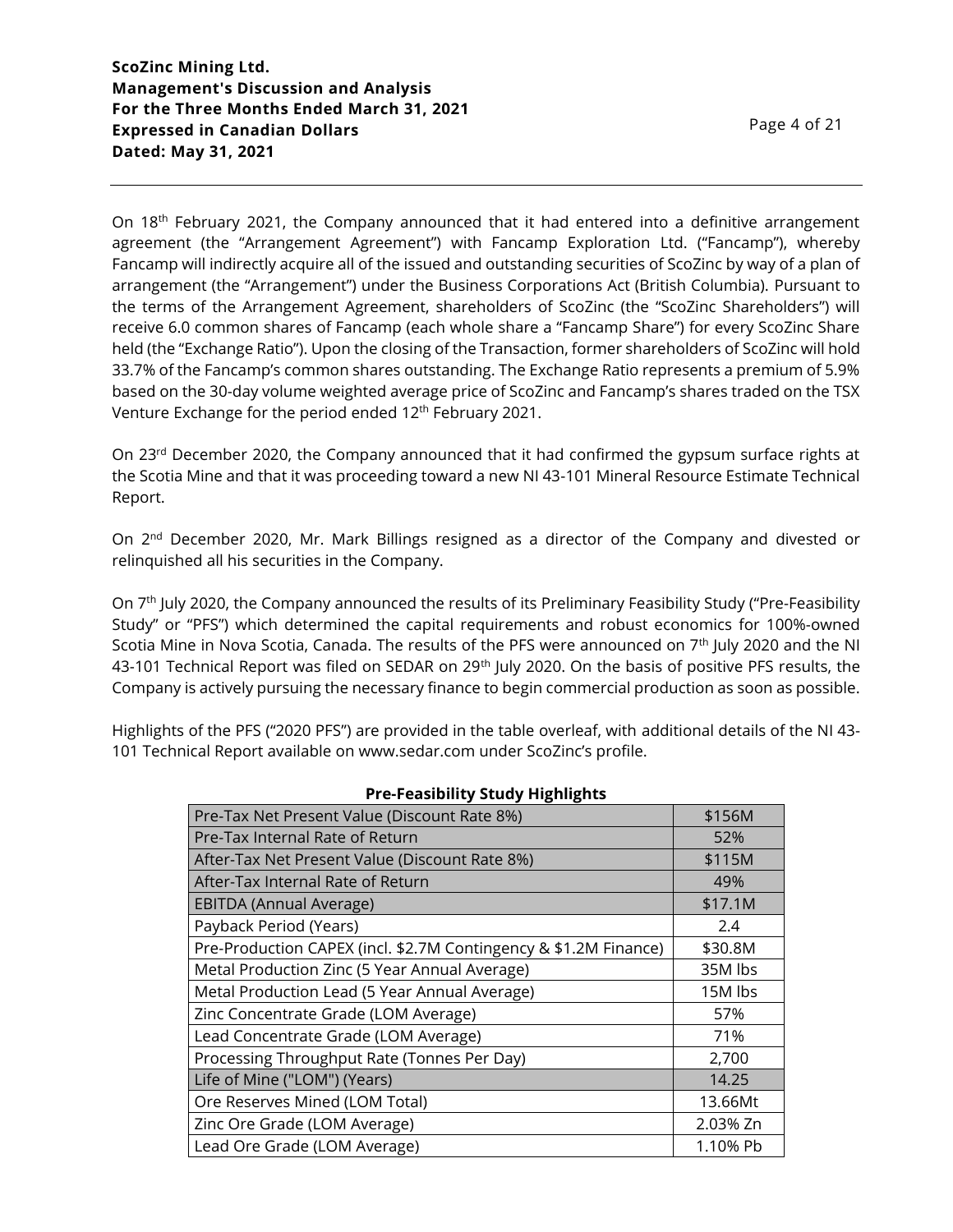On 18<sup>th</sup> February 2021, the Company announced that it had entered into a definitive arrangement agreement (the "Arrangement Agreement") with Fancamp Exploration Ltd. ("Fancamp"), whereby Fancamp will indirectly acquire all of the issued and outstanding securities of ScoZinc by way of a plan of arrangement (the "Arrangement") under the Business Corporations Act (British Columbia). Pursuant to the terms of the Arrangement Agreement, shareholders of ScoZinc (the "ScoZinc Shareholders") will receive 6.0 common shares of Fancamp (each whole share a "Fancamp Share") for every ScoZinc Share held (the "Exchange Ratio"). Upon the closing of the Transaction, former shareholders of ScoZinc will hold 33.7% of the Fancamp's common shares outstanding. The Exchange Ratio represents a premium of 5.9% based on the 30-day volume weighted average price of ScoZinc and Fancamp's shares traded on the TSX Venture Exchange for the period ended 12<sup>th</sup> February 2021.

On 23<sup>rd</sup> December 2020, the Company announced that it had confirmed the gypsum surface rights at the Scotia Mine and that it was proceeding toward a new NI 43-101 Mineral Resource Estimate Technical Report.

On 2<sup>nd</sup> December 2020, Mr. Mark Billings resigned as a director of the Company and divested or relinquished all his securities in the Company.

On 7<sup>th</sup> July 2020, the Company announced the results of its Preliminary Feasibility Study ("Pre-Feasibility Study" or "PFS") which determined the capital requirements and robust economics for 100%-owned Scotia Mine in Nova Scotia, Canada. The results of the PFS were announced on 7th July 2020 and the NI 43-101 Technical Report was filed on SEDAR on 29<sup>th</sup> July 2020. On the basis of positive PFS results, the Company is actively pursuing the necessary finance to begin commercial production as soon as possible.

Highlights of the PFS ("2020 PFS") are provided in the table overleaf, with additional details of the NI 43- 101 Technical Report available on www.sedar.com under ScoZinc's profile.

| <b>PIC-PEASIBILLY SLUUY FIRMING</b>                              |          |
|------------------------------------------------------------------|----------|
| Pre-Tax Net Present Value (Discount Rate 8%)                     | \$156M   |
| Pre-Tax Internal Rate of Return                                  | 52%      |
| After-Tax Net Present Value (Discount Rate 8%)                   | \$115M   |
| After-Tax Internal Rate of Return                                | 49%      |
| EBITDA (Annual Average)                                          | \$17.1M  |
| Payback Period (Years)                                           | 2.4      |
| Pre-Production CAPEX (incl. \$2.7M Contingency & \$1.2M Finance) | \$30.8M  |
| Metal Production Zinc (5 Year Annual Average)                    | 35M lbs  |
| Metal Production Lead (5 Year Annual Average)                    | 15M lbs  |
| Zinc Concentrate Grade (LOM Average)                             | 57%      |
| Lead Concentrate Grade (LOM Average)                             | 71%      |
| Processing Throughput Rate (Tonnes Per Day)                      | 2,700    |
| Life of Mine ("LOM") (Years)                                     | 14.25    |
| Ore Reserves Mined (LOM Total)                                   | 13.66Mt  |
| Zinc Ore Grade (LOM Average)                                     | 2.03% Zn |
| Lead Ore Grade (LOM Average)                                     | 1.10% Pb |

**Pre-Feasibility Study Highlights**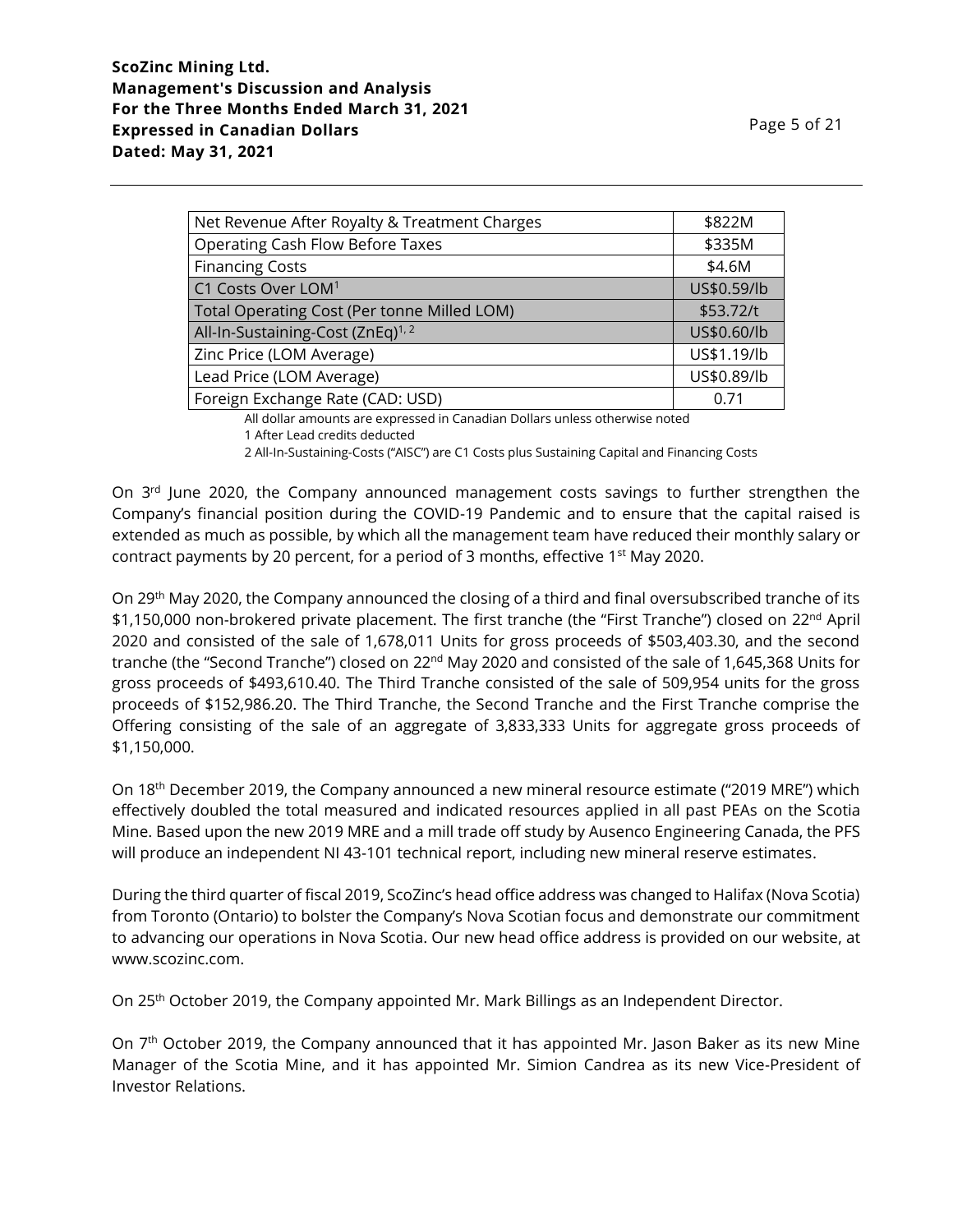| Page 5 of 21 |  |
|--------------|--|
|--------------|--|

| Net Revenue After Royalty & Treatment Charges | \$822M      |
|-----------------------------------------------|-------------|
| <b>Operating Cash Flow Before Taxes</b>       | \$335M      |
| <b>Financing Costs</b>                        | \$4.6M      |
| C1 Costs Over LOM <sup>1</sup>                | US\$0.59/lb |
| Total Operating Cost (Per tonne Milled LOM)   | \$53.72/t   |
| All-In-Sustaining-Cost (ZnEq) <sup>1,2</sup>  | US\$0.60/lb |
| Zinc Price (LOM Average)                      | US\$1.19/lb |
| Lead Price (LOM Average)                      | US\$0.89/lb |
| Foreign Exchange Rate (CAD: USD)              | 0.71        |
|                                               |             |

All dollar amounts are expressed in Canadian Dollars unless otherwise noted

2 All-In-Sustaining-Costs ("AISC") are C1 Costs plus Sustaining Capital and Financing Costs

On  $3<sup>rd</sup>$  June 2020, the Company announced management costs savings to further strengthen the Company's financial position during the COVID-19 Pandemic and to ensure that the capital raised is extended as much as possible, by which all the management team have reduced their monthly salary or contract payments by 20 percent, for a period of 3 months, effective 1<sup>st</sup> May 2020.

On 29th May 2020, the Company announced the closing of a third and final oversubscribed tranche of its \$1,150,000 non-brokered private placement. The first tranche (the "First Tranche") closed on 22<sup>nd</sup> April 2020 and consisted of the sale of 1,678,011 Units for gross proceeds of \$503,403.30, and the second tranche (the "Second Tranche") closed on 22<sup>nd</sup> May 2020 and consisted of the sale of 1,645,368 Units for gross proceeds of \$493,610.40. The Third Tranche consisted of the sale of 509,954 units for the gross proceeds of \$152,986.20. The Third Tranche, the Second Tranche and the First Tranche comprise the Offering consisting of the sale of an aggregate of 3,833,333 Units for aggregate gross proceeds of \$1,150,000.

On 18<sup>th</sup> December 2019, the Company announced a new mineral resource estimate ("2019 MRE") which effectively doubled the total measured and indicated resources applied in all past PEAs on the Scotia Mine. Based upon the new 2019 MRE and a mill trade off study by Ausenco Engineering Canada, the PFS will produce an independent NI 43-101 technical report, including new mineral reserve estimates.

During the third quarter of fiscal 2019, ScoZinc's head office address was changed to Halifax (Nova Scotia) from Toronto (Ontario) to bolster the Company's Nova Scotian focus and demonstrate our commitment to advancing our operations in Nova Scotia. Our new head office address is provided on our website, at www.scozinc.com.

On 25th October 2019, the Company appointed Mr. Mark Billings as an Independent Director.

On 7<sup>th</sup> October 2019, the Company announced that it has appointed Mr. Jason Baker as its new Mine Manager of the Scotia Mine, and it has appointed Mr. Simion Candrea as its new Vice-President of Investor Relations.

<sup>1</sup> After Lead credits deducted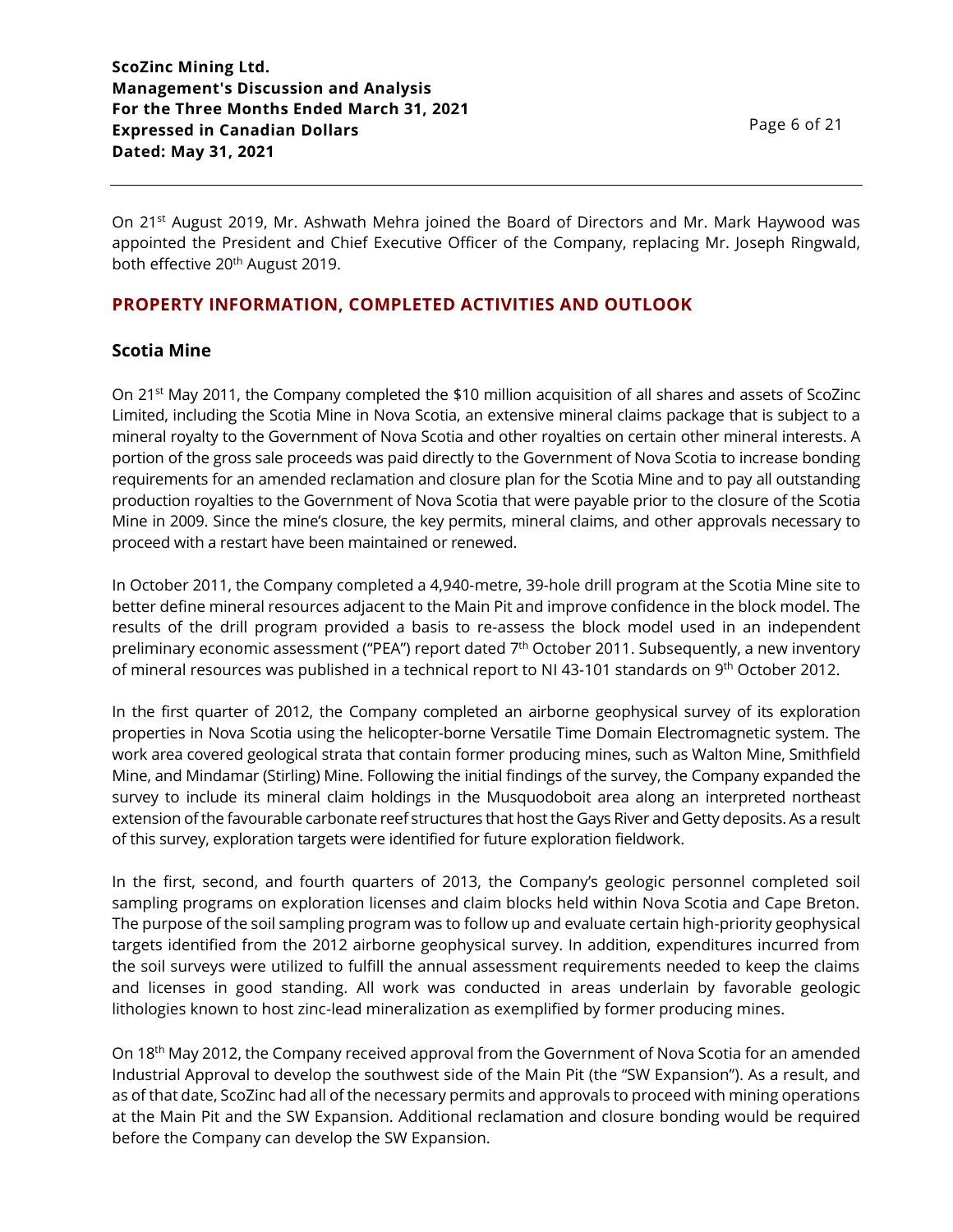On 21<sup>st</sup> August 2019, Mr. Ashwath Mehra joined the Board of Directors and Mr. Mark Haywood was appointed the President and Chief Executive Officer of the Company, replacing Mr. Joseph Ringwald, both effective 20<sup>th</sup> August 2019.

# **PROPERTY INFORMATION, COMPLETED ACTIVITIES AND OUTLOOK**

# **Scotia Mine**

On 21st May 2011, the Company completed the \$10 million acquisition of all shares and assets of ScoZinc Limited, including the Scotia Mine in Nova Scotia, an extensive mineral claims package that is subject to a mineral royalty to the Government of Nova Scotia and other royalties on certain other mineral interests. A portion of the gross sale proceeds was paid directly to the Government of Nova Scotia to increase bonding requirements for an amended reclamation and closure plan for the Scotia Mine and to pay all outstanding production royalties to the Government of Nova Scotia that were payable prior to the closure of the Scotia Mine in 2009. Since the mine's closure, the key permits, mineral claims, and other approvals necessary to proceed with a restart have been maintained or renewed.

In October 2011, the Company completed a 4,940-metre, 39-hole drill program at the Scotia Mine site to better define mineral resources adjacent to the Main Pit and improve confidence in the block model. The results of the drill program provided a basis to re-assess the block model used in an independent preliminary economic assessment ("PEA") report dated 7<sup>th</sup> October 2011. Subsequently, a new inventory of mineral resources was published in a technical report to NI 43-101 standards on 9<sup>th</sup> October 2012.

In the first quarter of 2012, the Company completed an airborne geophysical survey of its exploration properties in Nova Scotia using the helicopter-borne Versatile Time Domain Electromagnetic system. The work area covered geological strata that contain former producing mines, such as Walton Mine, Smithfield Mine, and Mindamar (Stirling) Mine. Following the initial findings of the survey, the Company expanded the survey to include its mineral claim holdings in the Musquodoboit area along an interpreted northeast extension of the favourable carbonate reef structures that host the Gays River and Getty deposits. As a result of this survey, exploration targets were identified for future exploration fieldwork.

In the first, second, and fourth quarters of 2013, the Company's geologic personnel completed soil sampling programs on exploration licenses and claim blocks held within Nova Scotia and Cape Breton. The purpose of the soil sampling program was to follow up and evaluate certain high-priority geophysical targets identified from the 2012 airborne geophysical survey. In addition, expenditures incurred from the soil surveys were utilized to fulfill the annual assessment requirements needed to keep the claims and licenses in good standing. All work was conducted in areas underlain by favorable geologic lithologies known to host zinc-lead mineralization as exemplified by former producing mines.

On 18th May 2012, the Company received approval from the Government of Nova Scotia for an amended Industrial Approval to develop the southwest side of the Main Pit (the "SW Expansion"). As a result, and as of that date, ScoZinc had all of the necessary permits and approvals to proceed with mining operations at the Main Pit and the SW Expansion. Additional reclamation and closure bonding would be required before the Company can develop the SW Expansion.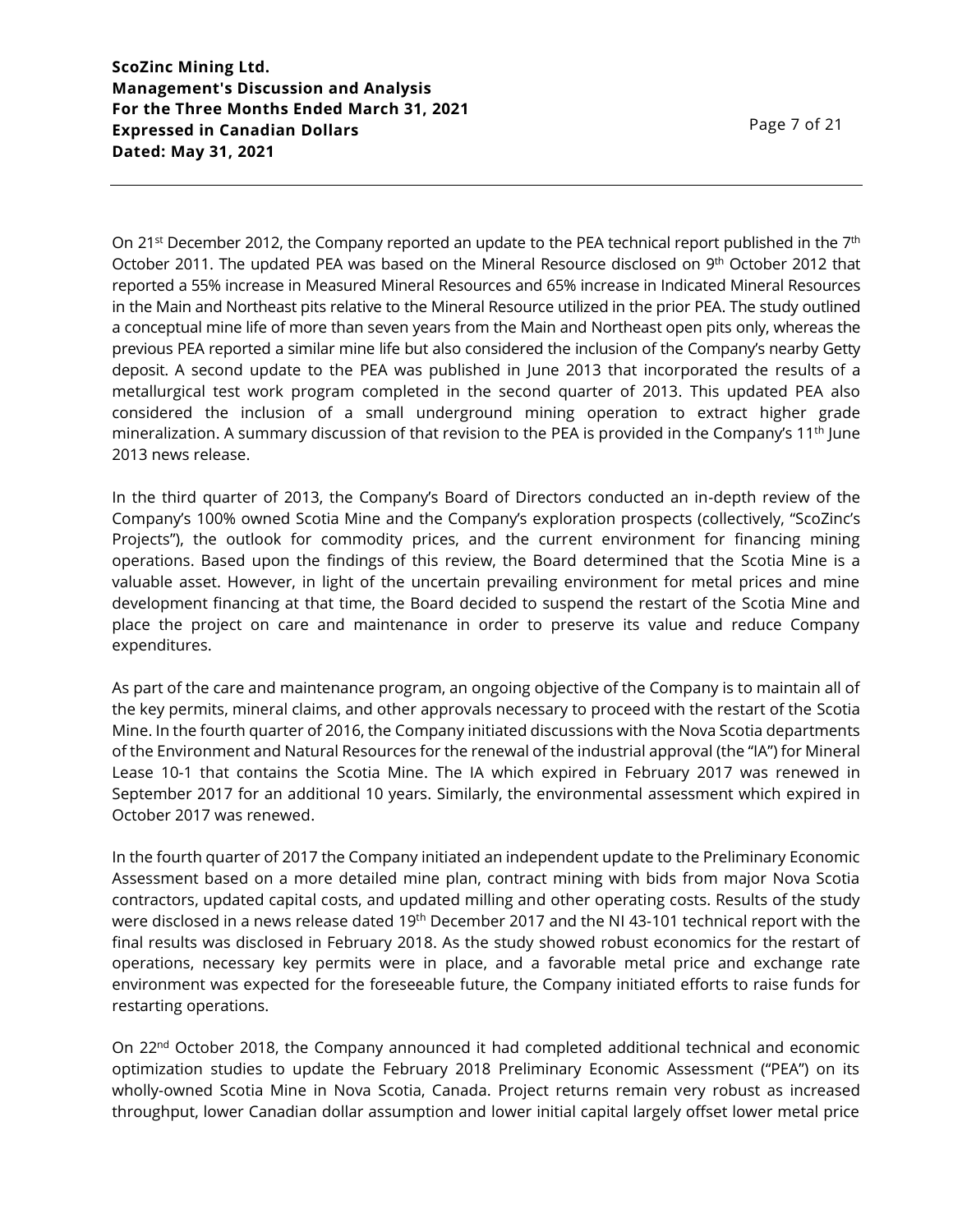On 21<sup>st</sup> December 2012, the Company reported an update to the PEA technical report published in the 7<sup>th</sup> October 2011. The updated PEA was based on the Mineral Resource disclosed on 9<sup>th</sup> October 2012 that reported a 55% increase in Measured Mineral Resources and 65% increase in Indicated Mineral Resources in the Main and Northeast pits relative to the Mineral Resource utilized in the prior PEA. The study outlined a conceptual mine life of more than seven years from the Main and Northeast open pits only, whereas the previous PEA reported a similar mine life but also considered the inclusion of the Company's nearby Getty deposit. A second update to the PEA was published in June 2013 that incorporated the results of a metallurgical test work program completed in the second quarter of 2013. This updated PEA also considered the inclusion of a small underground mining operation to extract higher grade mineralization. A summary discussion of that revision to the PEA is provided in the Company's 11th June 2013 news release.

In the third quarter of 2013, the Company's Board of Directors conducted an in-depth review of the Company's 100% owned Scotia Mine and the Company's exploration prospects (collectively, "ScoZinc's Projects"), the outlook for commodity prices, and the current environment for financing mining operations. Based upon the findings of this review, the Board determined that the Scotia Mine is a valuable asset. However, in light of the uncertain prevailing environment for metal prices and mine development financing at that time, the Board decided to suspend the restart of the Scotia Mine and place the project on care and maintenance in order to preserve its value and reduce Company expenditures.

As part of the care and maintenance program, an ongoing objective of the Company is to maintain all of the key permits, mineral claims, and other approvals necessary to proceed with the restart of the Scotia Mine. In the fourth quarter of 2016, the Company initiated discussions with the Nova Scotia departments of the Environment and Natural Resources for the renewal of the industrial approval (the "IA") for Mineral Lease 10-1 that contains the Scotia Mine. The IA which expired in February 2017 was renewed in September 2017 for an additional 10 years. Similarly, the environmental assessment which expired in October 2017 was renewed.

In the fourth quarter of 2017 the Company initiated an independent update to the Preliminary Economic Assessment based on a more detailed mine plan, contract mining with bids from major Nova Scotia contractors, updated capital costs, and updated milling and other operating costs. Results of the study were disclosed in a news release dated 19<sup>th</sup> December 2017 and the NI 43-101 technical report with the final results was disclosed in February 2018. As the study showed robust economics for the restart of operations, necessary key permits were in place, and a favorable metal price and exchange rate environment was expected for the foreseeable future, the Company initiated efforts to raise funds for restarting operations.

On 22nd October 2018, the Company announced it had completed additional technical and economic optimization studies to update the February 2018 Preliminary Economic Assessment ("PEA") on its wholly-owned Scotia Mine in Nova Scotia, Canada. Project returns remain very robust as increased throughput, lower Canadian dollar assumption and lower initial capital largely offset lower metal price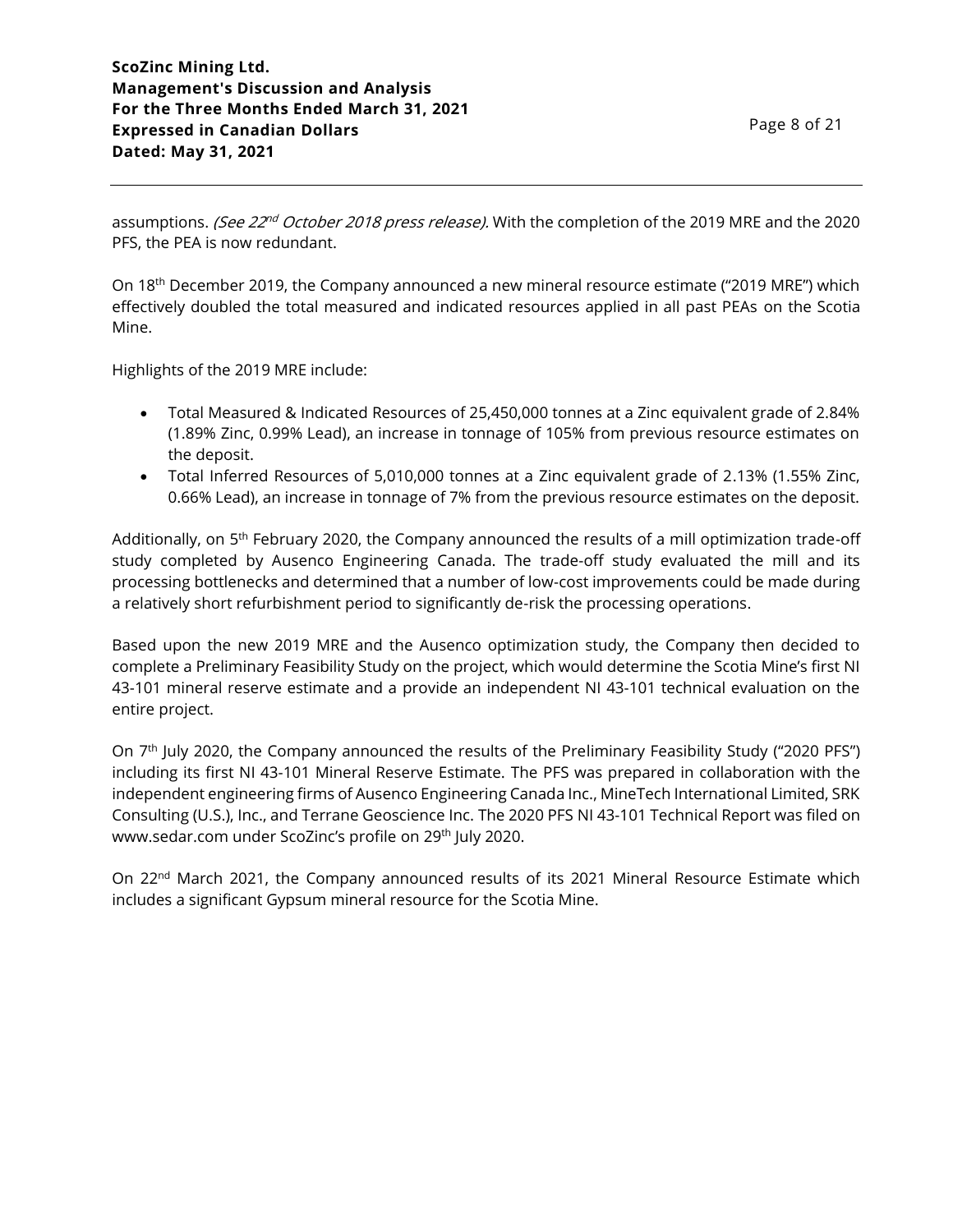assumptions. *(See 22<sup>nd</sup> October 2018 press release).* With the completion of the 2019 MRE and the 2020 PFS, the PEA is now redundant.

On 18<sup>th</sup> December 2019, the Company announced a new mineral resource estimate ("2019 MRE") which effectively doubled the total measured and indicated resources applied in all past PEAs on the Scotia Mine.

Highlights of the 2019 MRE include:

- Total Measured & Indicated Resources of 25,450,000 tonnes at a Zinc equivalent grade of 2.84% (1.89% Zinc, 0.99% Lead), an increase in tonnage of 105% from previous resource estimates on the deposit.
- Total Inferred Resources of 5,010,000 tonnes at a Zinc equivalent grade of 2.13% (1.55% Zinc, 0.66% Lead), an increase in tonnage of 7% from the previous resource estimates on the deposit.

Additionally, on 5<sup>th</sup> February 2020, the Company announced the results of a mill optimization trade-off study completed by Ausenco Engineering Canada. The trade-off study evaluated the mill and its processing bottlenecks and determined that a number of low-cost improvements could be made during a relatively short refurbishment period to significantly de-risk the processing operations.

Based upon the new 2019 MRE and the Ausenco optimization study, the Company then decided to complete a Preliminary Feasibility Study on the project, which would determine the Scotia Mine's first NI 43-101 mineral reserve estimate and a provide an independent NI 43-101 technical evaluation on the entire project.

On 7<sup>th</sup> July 2020, the Company announced the results of the Preliminary Feasibility Study ("2020 PFS") including its first NI 43-101 Mineral Reserve Estimate. The PFS was prepared in collaboration with the independent engineering firms of Ausenco Engineering Canada Inc., MineTech International Limited, SRK Consulting (U.S.), Inc., and Terrane Geoscience Inc. The 2020 PFS NI 43-101 Technical Report was filed on www.sedar.com under ScoZinc's profile on 29th July 2020.

On 22<sup>nd</sup> March 2021, the Company announced results of its 2021 Mineral Resource Estimate which includes a significant Gypsum mineral resource for the Scotia Mine.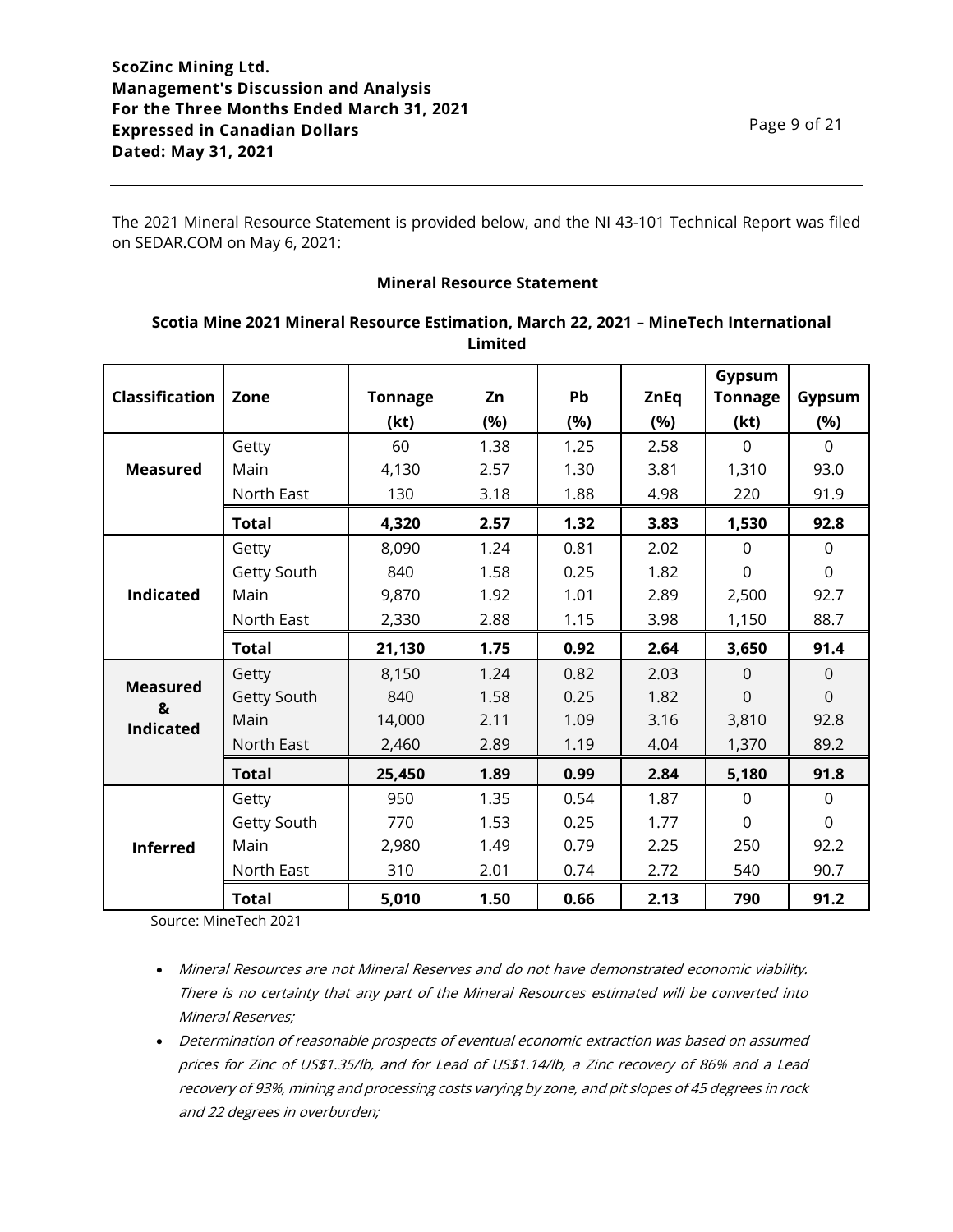The 2021 Mineral Resource Statement is provided below, and the NI 43-101 Technical Report was filed on SEDAR.COM on May 6, 2021:

#### **Mineral Resource Statement**

|                       |              |                |      |      |             | Gypsum         |                |
|-----------------------|--------------|----------------|------|------|-------------|----------------|----------------|
| <b>Classification</b> | Zone         | <b>Tonnage</b> | Zn   | Pb   | <b>ZnEq</b> | <b>Tonnage</b> | Gypsum         |
|                       |              | (kt)           | (%)  | (%)  | (%)         | (kt)           | (%)            |
|                       | Getty        | 60             | 1.38 | 1.25 | 2.58        | $\Omega$       | $\Omega$       |
| <b>Measured</b>       | Main         | 4,130          | 2.57 | 1.30 | 3.81        | 1,310          | 93.0           |
|                       | North East   | 130            | 3.18 | 1.88 | 4.98        | 220            | 91.9           |
|                       | <b>Total</b> | 4,320          | 2.57 | 1.32 | 3.83        | 1,530          | 92.8           |
|                       | Getty        | 8,090          | 1.24 | 0.81 | 2.02        | $\Omega$       | $\Omega$       |
|                       | Getty South  | 840            | 1.58 | 0.25 | 1.82        | $\mathbf 0$    | $\overline{0}$ |
| <b>Indicated</b>      | Main         | 9,870          | 1.92 | 1.01 | 2.89        | 2,500          | 92.7           |
|                       | North East   | 2,330          | 2.88 | 1.15 | 3.98        | 1,150          | 88.7           |
|                       | <b>Total</b> | 21,130         | 1.75 | 0.92 | 2.64        | 3,650          | 91.4           |
|                       | Getty        | 8,150          | 1.24 | 0.82 | 2.03        | $\overline{0}$ | $\mathbf 0$    |
| <b>Measured</b><br>&  | Getty South  | 840            | 1.58 | 0.25 | 1.82        | $\mathbf 0$    | $\mathsf 0$    |
| <b>Indicated</b>      | Main         | 14,000         | 2.11 | 1.09 | 3.16        | 3,810          | 92.8           |
|                       | North East   | 2,460          | 2.89 | 1.19 | 4.04        | 1,370          | 89.2           |
|                       | <b>Total</b> | 25,450         | 1.89 | 0.99 | 2.84        | 5,180          | 91.8           |
|                       | Getty        | 950            | 1.35 | 0.54 | 1.87        | $\mathbf 0$    | $\mathbf 0$    |
|                       | Getty South  | 770            | 1.53 | 0.25 | 1.77        | $\mathbf 0$    | $\mathbf 0$    |
| <b>Inferred</b>       | Main         | 2,980          | 1.49 | 0.79 | 2.25        | 250            | 92.2           |
|                       | North East   | 310            | 2.01 | 0.74 | 2.72        | 540            | 90.7           |
|                       | <b>Total</b> | 5,010          | 1.50 | 0.66 | 2.13        | 790            | 91.2           |

#### **Scotia Mine 2021 Mineral Resource Estimation, March 22, 2021 – MineTech International Limited**

Source: MineTech 2021

- Mineral Resources are not Mineral Reserves and do not have demonstrated economic viability. There is no certainty that any part of the Mineral Resources estimated will be converted into Mineral Reserves;
- Determination of reasonable prospects of eventual economic extraction was based on assumed prices for Zinc of US\$1.35/lb, and for Lead of US\$1.14/lb, a Zinc recovery of 86% and a Lead recovery of 93%, mining and processing costs varying by zone, and pit slopes of 45 degrees in rock and 22 degrees in overburden;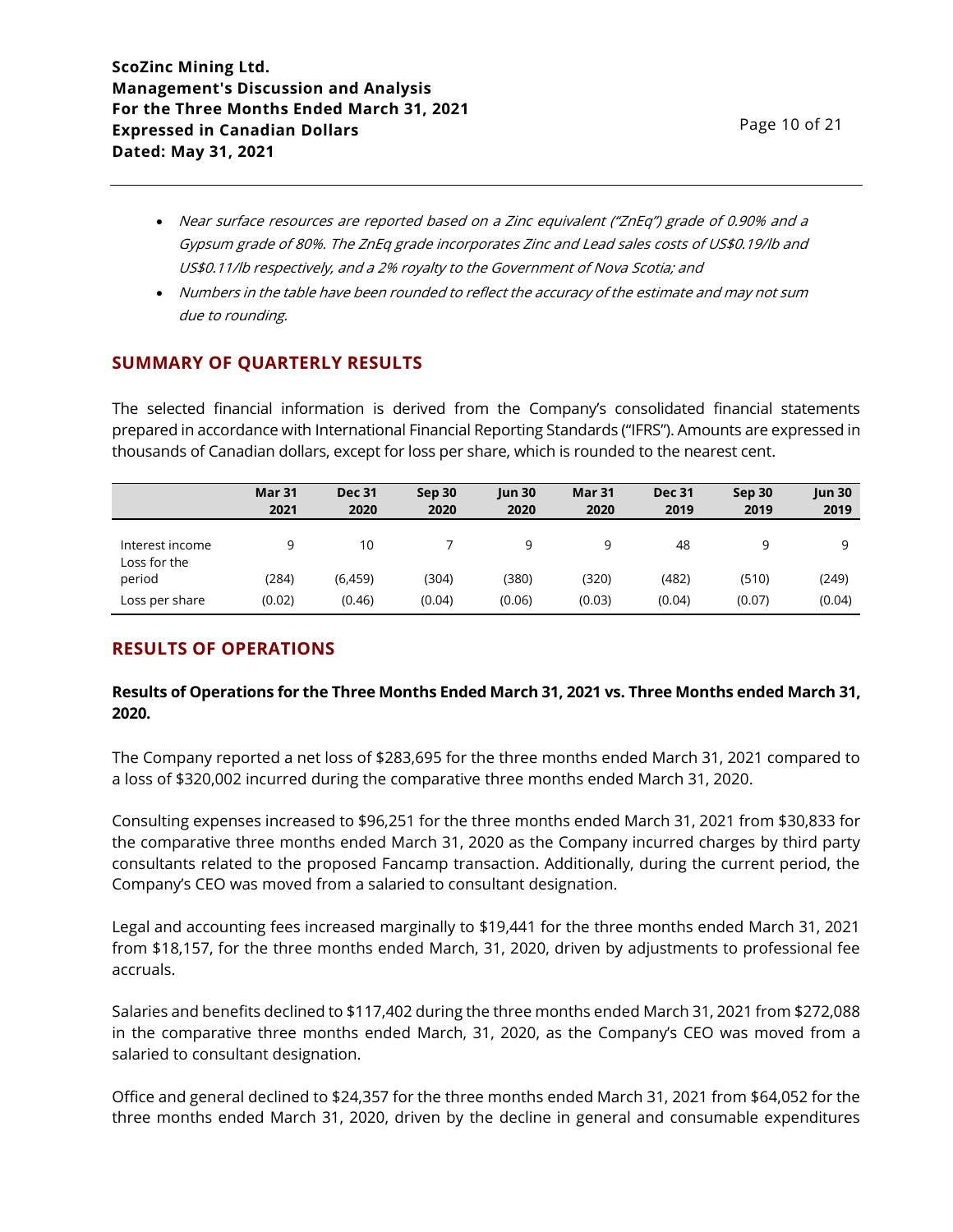- Near surface resources are reported based on a Zinc equivalent ("ZnEq") grade of 0.90% and a Gypsum grade of 80%. The ZnEq grade incorporates Zinc and Lead sales costs of US\$0.19/lb and US\$0.11/lb respectively, and a 2% royalty to the Government of Nova Scotia; and
- Numbers in the table have been rounded to reflect the accuracy of the estimate and may not sum due to rounding.

# **SUMMARY OF QUARTERLY RESULTS**

The selected financial information is derived from the Company's consolidated financial statements prepared in accordance with International Financial Reporting Standards ("IFRS"). Amounts are expressed in thousands of Canadian dollars, except for loss per share, which is rounded to the nearest cent.

|                                 | <b>Mar 31</b><br>2021 | <b>Dec 31</b><br>2020 | Sep 30<br>2020 | <b>Jun 30</b><br>2020 | Mar 31<br>2020 | <b>Dec 31</b><br>2019 | Sep 30<br>2019 | Jun 30<br>2019 |
|---------------------------------|-----------------------|-----------------------|----------------|-----------------------|----------------|-----------------------|----------------|----------------|
| Interest income<br>Loss for the | q                     | 10                    |                | 9                     | 9              | 48                    | q              | a              |
| period                          | (284)                 | (6, 459)              | (304)          | (380)                 | (320)          | (482)                 | (510)          | (249)          |
| Loss per share                  | (0.02)                | (0.46)                | (0.04)         | (0.06)                | (0.03)         | (0.04)                | (0.07)         | (0.04)         |

# **RESULTS OF OPERATIONS**

# **Results of Operations for the Three Months Ended March 31, 2021 vs. Three Months ended March 31, 2020.**

The Company reported a net loss of \$283,695 for the three months ended March 31, 2021 compared to a loss of \$320,002 incurred during the comparative three months ended March 31, 2020.

Consulting expenses increased to \$96,251 for the three months ended March 31, 2021 from \$30,833 for the comparative three months ended March 31, 2020 as the Company incurred charges by third party consultants related to the proposed Fancamp transaction. Additionally, during the current period, the Company's CEO was moved from a salaried to consultant designation.

Legal and accounting fees increased marginally to \$19,441 for the three months ended March 31, 2021 from \$18,157, for the three months ended March, 31, 2020, driven by adjustments to professional fee accruals.

Salaries and benefits declined to \$117,402 during the three months ended March 31, 2021 from \$272,088 in the comparative three months ended March, 31, 2020, as the Company's CEO was moved from a salaried to consultant designation.

Office and general declined to \$24,357 for the three months ended March 31, 2021 from \$64,052 for the three months ended March 31, 2020, driven by the decline in general and consumable expenditures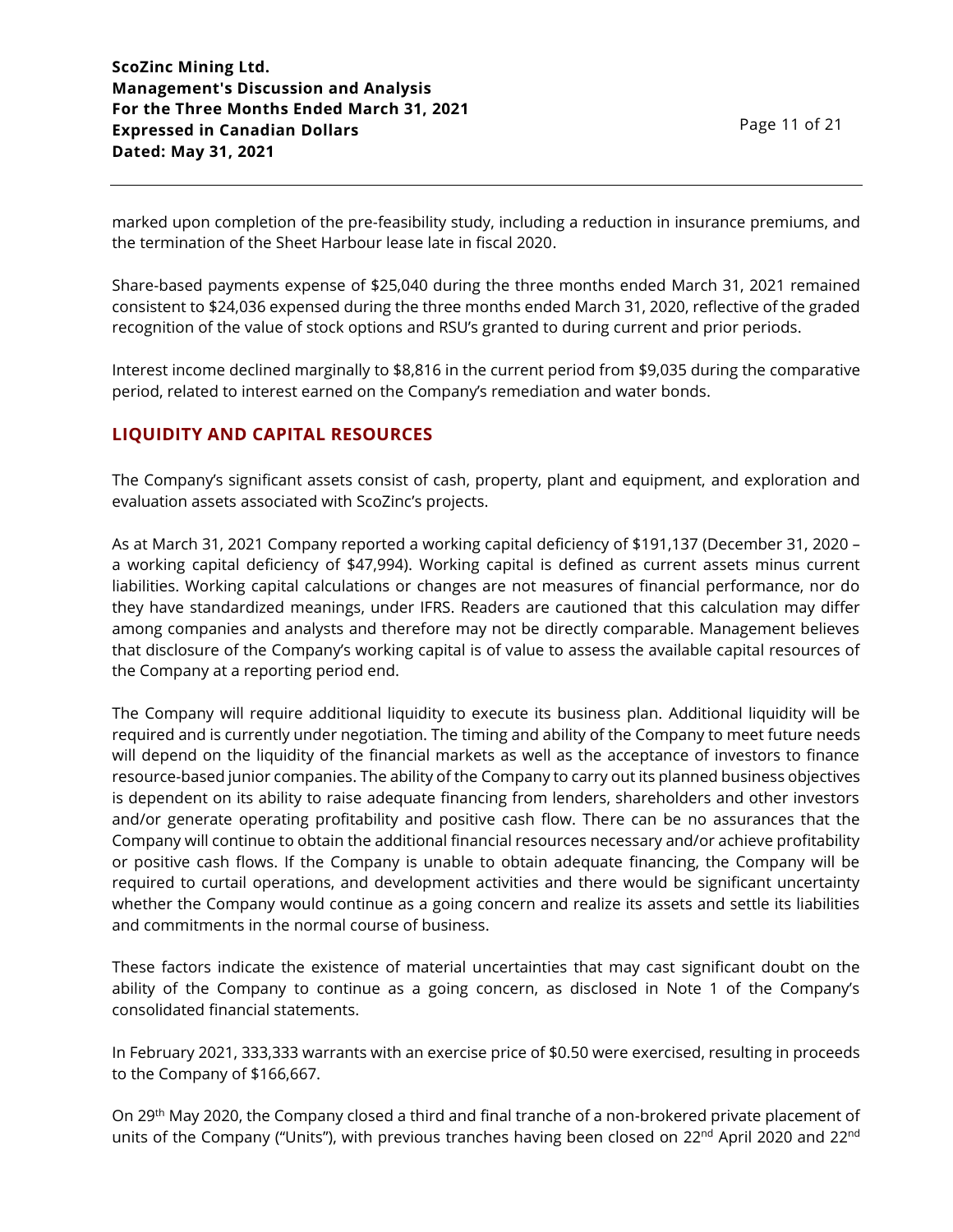marked upon completion of the pre-feasibility study, including a reduction in insurance premiums, and the termination of the Sheet Harbour lease late in fiscal 2020.

Share-based payments expense of \$25,040 during the three months ended March 31, 2021 remained consistent to \$24,036 expensed during the three months ended March 31, 2020, reflective of the graded recognition of the value of stock options and RSU's granted to during current and prior periods.

Interest income declined marginally to \$8,816 in the current period from \$9,035 during the comparative period, related to interest earned on the Company's remediation and water bonds.

# **LIQUIDITY AND CAPITAL RESOURCES**

The Company's significant assets consist of cash, property, plant and equipment, and exploration and evaluation assets associated with ScoZinc's projects.

As at March 31, 2021 Company reported a working capital deficiency of \$191,137 (December 31, 2020 – a working capital deficiency of \$47,994). Working capital is defined as current assets minus current liabilities. Working capital calculations or changes are not measures of financial performance, nor do they have standardized meanings, under IFRS. Readers are cautioned that this calculation may differ among companies and analysts and therefore may not be directly comparable. Management believes that disclosure of the Company's working capital is of value to assess the available capital resources of the Company at a reporting period end.

The Company will require additional liquidity to execute its business plan. Additional liquidity will be required and is currently under negotiation. The timing and ability of the Company to meet future needs will depend on the liquidity of the financial markets as well as the acceptance of investors to finance resource-based junior companies. The ability of the Company to carry out its planned business objectives is dependent on its ability to raise adequate financing from lenders, shareholders and other investors and/or generate operating profitability and positive cash flow. There can be no assurances that the Company will continue to obtain the additional financial resources necessary and/or achieve profitability or positive cash flows. If the Company is unable to obtain adequate financing, the Company will be required to curtail operations, and development activities and there would be significant uncertainty whether the Company would continue as a going concern and realize its assets and settle its liabilities and commitments in the normal course of business.

These factors indicate the existence of material uncertainties that may cast significant doubt on the ability of the Company to continue as a going concern, as disclosed in Note 1 of the Company's consolidated financial statements.

In February 2021, 333,333 warrants with an exercise price of \$0.50 were exercised, resulting in proceeds to the Company of \$166,667.

On 29th May 2020, the Company closed a third and final tranche of a non-brokered private placement of units of the Company ("Units"), with previous tranches having been closed on 22<sup>nd</sup> April 2020 and 22<sup>nd</sup>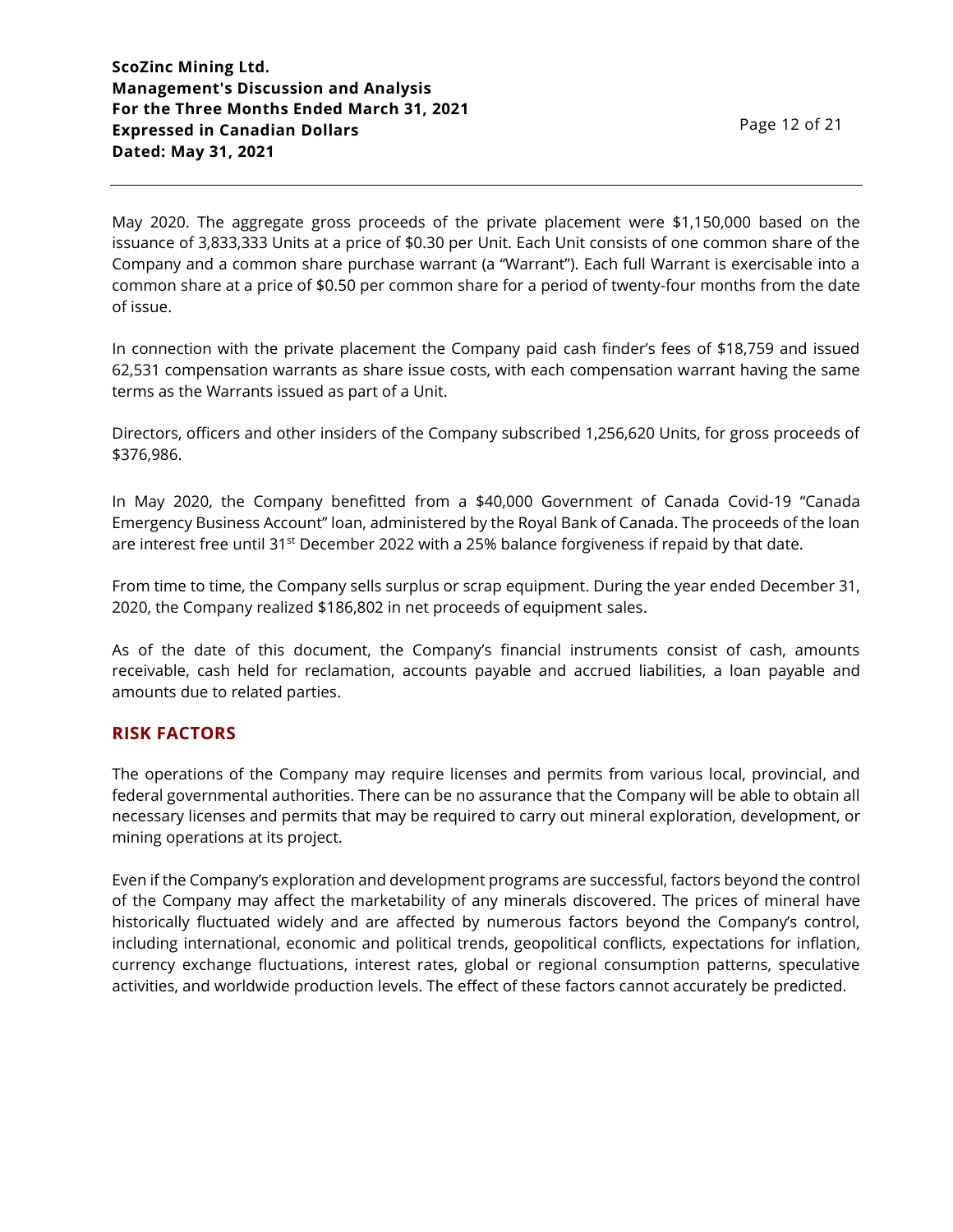May 2020. The aggregate gross proceeds of the private placement were \$1,150,000 based on the issuance of 3,833,333 Units at a price of \$0.30 per Unit. Each Unit consists of one common share of the Company and a common share purchase warrant (a "Warrant"). Each full Warrant is exercisable into a common share at a price of \$0.50 per common share for a period of twenty-four months from the date of issue.

In connection with the private placement the Company paid cash finder's fees of \$18,759 and issued 62,531 compensation warrants as share issue costs, with each compensation warrant having the same terms as the Warrants issued as part of a Unit.

Directors, officers and other insiders of the Company subscribed 1,256,620 Units, for gross proceeds of \$376,986.

In May 2020, the Company benefitted from a \$40,000 Government of Canada Covid-19 "Canada Emergency Business Account" loan, administered by the Royal Bank of Canada. The proceeds of the loan are interest free until 31<sup>st</sup> December 2022 with a 25% balance forgiveness if repaid by that date.

From time to time, the Company sells surplus or scrap equipment. During the year ended December 31, 2020, the Company realized \$186,802 in net proceeds of equipment sales.

As of the date of this document, the Company's financial instruments consist of cash, amounts receivable, cash held for reclamation, accounts payable and accrued liabilities, a loan payable and amounts due to related parties.

# **RISK FACTORS**

The operations of the Company may require licenses and permits from various local, provincial, and federal governmental authorities. There can be no assurance that the Company will be able to obtain all necessary licenses and permits that may be required to carry out mineral exploration, development, or mining operations at its project.

Even if the Company's exploration and development programs are successful, factors beyond the control of the Company may affect the marketability of any minerals discovered. The prices of mineral have historically fluctuated widely and are affected by numerous factors beyond the Company's control, including international, economic and political trends, geopolitical conflicts, expectations for inflation, currency exchange fluctuations, interest rates, global or regional consumption patterns, speculative activities, and worldwide production levels. The effect of these factors cannot accurately be predicted.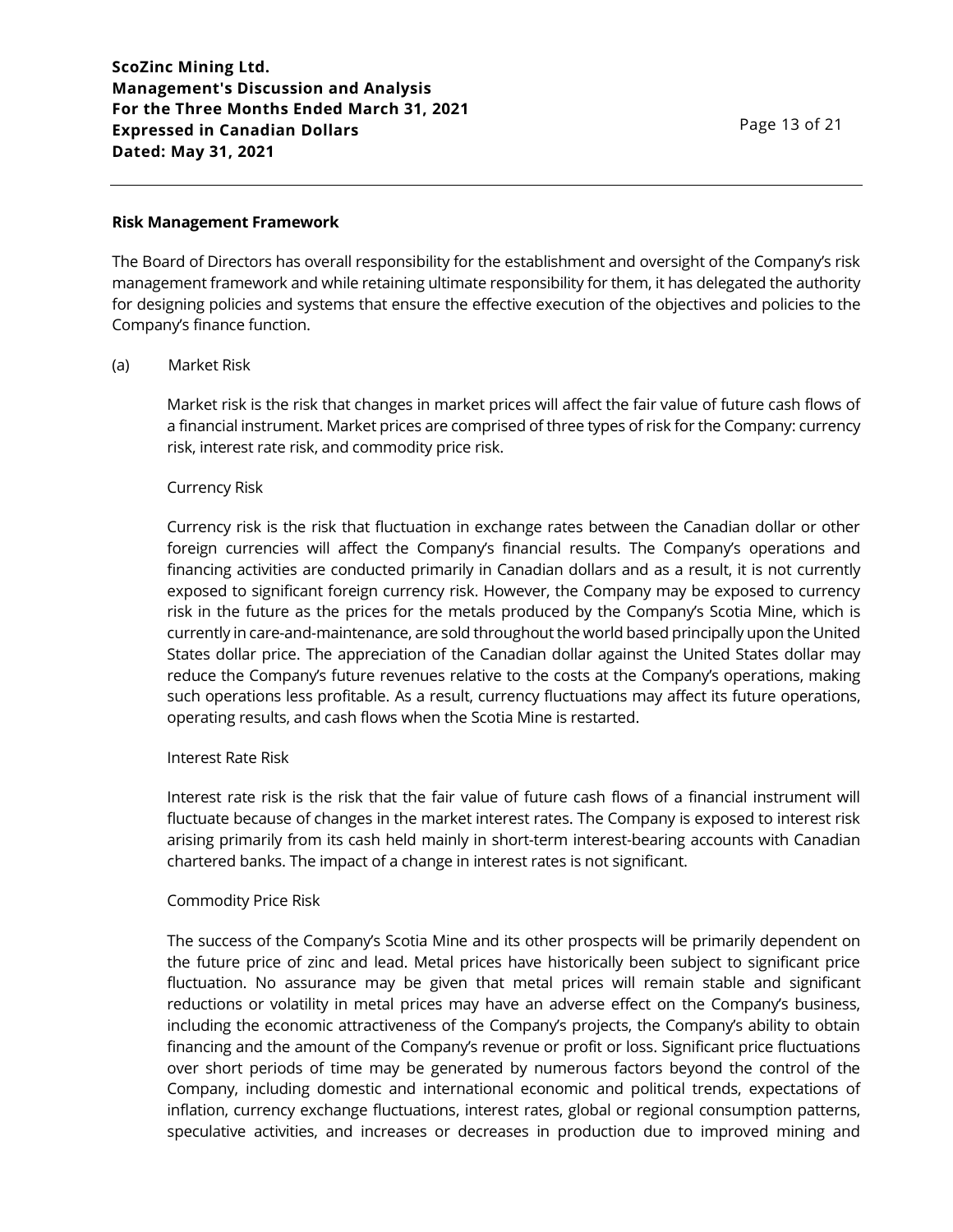#### **Risk Management Framework**

The Board of Directors has overall responsibility for the establishment and oversight of the Company's risk management framework and while retaining ultimate responsibility for them, it has delegated the authority for designing policies and systems that ensure the effective execution of the objectives and policies to the Company's finance function.

#### (a) Market Risk

Market risk is the risk that changes in market prices will affect the fair value of future cash flows of a financial instrument. Market prices are comprised of three types of risk for the Company: currency risk, interest rate risk, and commodity price risk.

#### Currency Risk

Currency risk is the risk that fluctuation in exchange rates between the Canadian dollar or other foreign currencies will affect the Company's financial results. The Company's operations and financing activities are conducted primarily in Canadian dollars and as a result, it is not currently exposed to significant foreign currency risk. However, the Company may be exposed to currency risk in the future as the prices for the metals produced by the Company's Scotia Mine, which is currently in care-and-maintenance, are sold throughout the world based principally upon the United States dollar price. The appreciation of the Canadian dollar against the United States dollar may reduce the Company's future revenues relative to the costs at the Company's operations, making such operations less profitable. As a result, currency fluctuations may affect its future operations, operating results, and cash flows when the Scotia Mine is restarted.

#### Interest Rate Risk

Interest rate risk is the risk that the fair value of future cash flows of a financial instrument will fluctuate because of changes in the market interest rates. The Company is exposed to interest risk arising primarily from its cash held mainly in short-term interest-bearing accounts with Canadian chartered banks. The impact of a change in interest rates is not significant.

#### Commodity Price Risk

The success of the Company's Scotia Mine and its other prospects will be primarily dependent on the future price of zinc and lead. Metal prices have historically been subject to significant price fluctuation. No assurance may be given that metal prices will remain stable and significant reductions or volatility in metal prices may have an adverse effect on the Company's business, including the economic attractiveness of the Company's projects, the Company's ability to obtain financing and the amount of the Company's revenue or profit or loss. Significant price fluctuations over short periods of time may be generated by numerous factors beyond the control of the Company, including domestic and international economic and political trends, expectations of inflation, currency exchange fluctuations, interest rates, global or regional consumption patterns, speculative activities, and increases or decreases in production due to improved mining and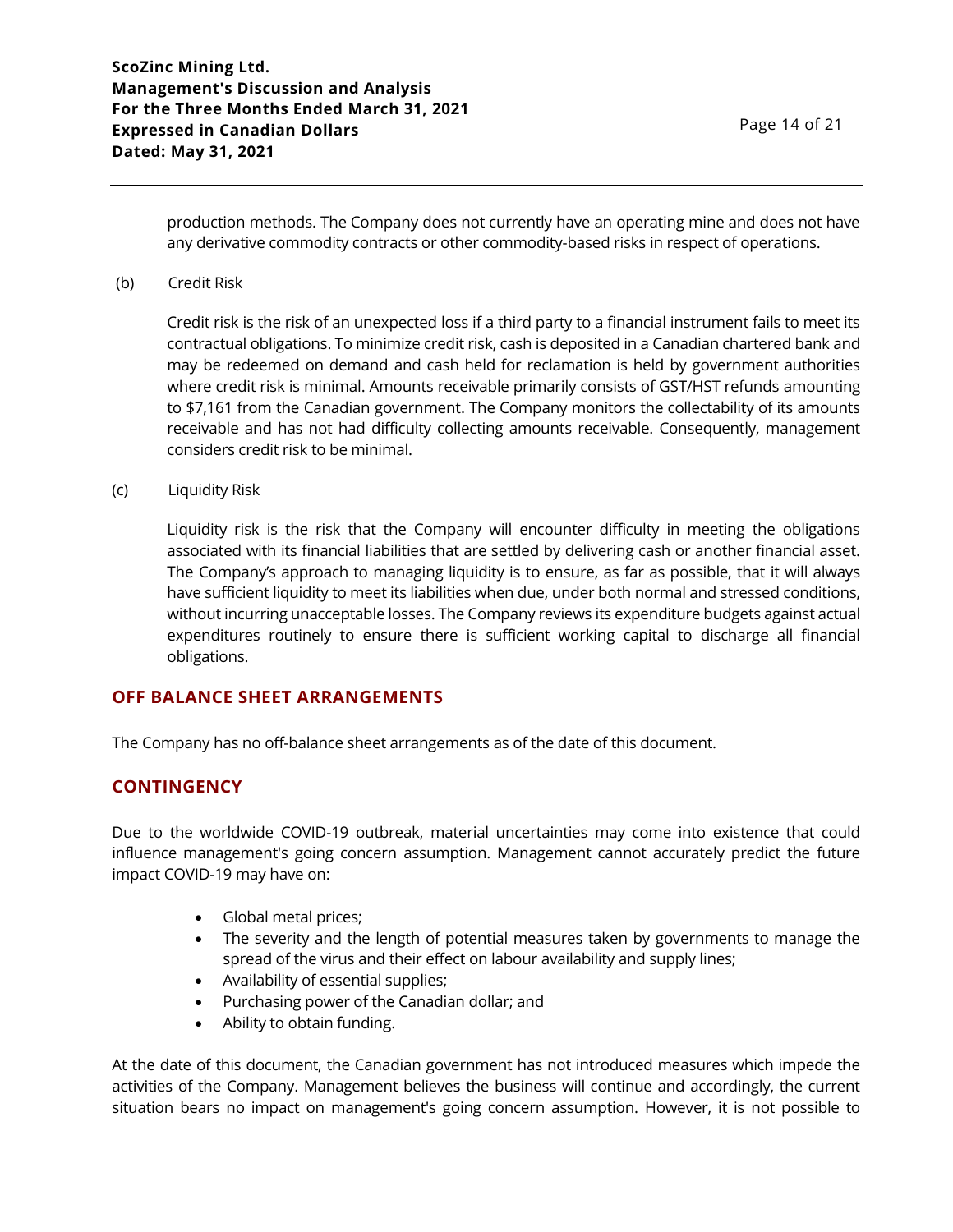production methods. The Company does not currently have an operating mine and does not have any derivative commodity contracts or other commodity-based risks in respect of operations.

(b) Credit Risk

Credit risk is the risk of an unexpected loss if a third party to a financial instrument fails to meet its contractual obligations. To minimize credit risk, cash is deposited in a Canadian chartered bank and may be redeemed on demand and cash held for reclamation is held by government authorities where credit risk is minimal. Amounts receivable primarily consists of GST/HST refunds amounting to \$7,161 from the Canadian government. The Company monitors the collectability of its amounts receivable and has not had difficulty collecting amounts receivable. Consequently, management considers credit risk to be minimal.

(c) Liquidity Risk

Liquidity risk is the risk that the Company will encounter difficulty in meeting the obligations associated with its financial liabilities that are settled by delivering cash or another financial asset. The Company's approach to managing liquidity is to ensure, as far as possible, that it will always have sufficient liquidity to meet its liabilities when due, under both normal and stressed conditions, without incurring unacceptable losses. The Company reviews its expenditure budgets against actual expenditures routinely to ensure there is sufficient working capital to discharge all financial obligations.

# **OFF BALANCE SHEET ARRANGEMENTS**

The Company has no off-balance sheet arrangements as of the date of this document.

# **CONTINGENCY**

Due to the worldwide COVID-19 outbreak, material uncertainties may come into existence that could influence management's going concern assumption. Management cannot accurately predict the future impact COVID-19 may have on:

- Global metal prices;
- The severity and the length of potential measures taken by governments to manage the spread of the virus and their effect on labour availability and supply lines;
- Availability of essential supplies;
- Purchasing power of the Canadian dollar; and
- Ability to obtain funding.

At the date of this document, the Canadian government has not introduced measures which impede the activities of the Company. Management believes the business will continue and accordingly, the current situation bears no impact on management's going concern assumption. However, it is not possible to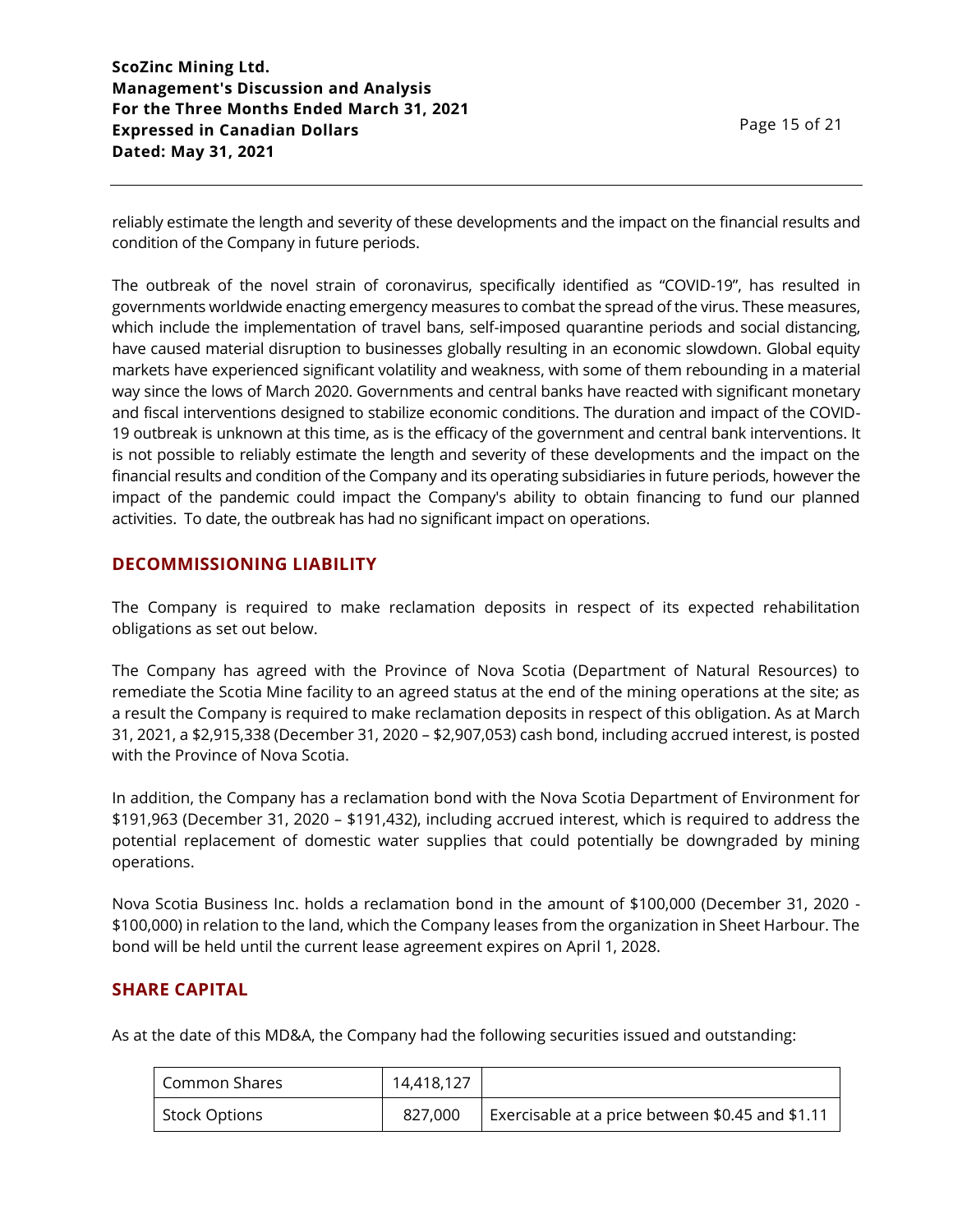reliably estimate the length and severity of these developments and the impact on the financial results and condition of the Company in future periods.

The outbreak of the novel strain of coronavirus, specifically identified as "COVID-19", has resulted in governments worldwide enacting emergency measures to combat the spread of the virus. These measures, which include the implementation of travel bans, self-imposed quarantine periods and social distancing, have caused material disruption to businesses globally resulting in an economic slowdown. Global equity markets have experienced significant volatility and weakness, with some of them rebounding in a material way since the lows of March 2020. Governments and central banks have reacted with significant monetary and fiscal interventions designed to stabilize economic conditions. The duration and impact of the COVID-19 outbreak is unknown at this time, as is the efficacy of the government and central bank interventions. It is not possible to reliably estimate the length and severity of these developments and the impact on the financial results and condition of the Company and its operating subsidiaries in future periods, however the impact of the pandemic could impact the Company's ability to obtain financing to fund our planned activities. To date, the outbreak has had no significant impact on operations.

# **DECOMMISSIONING LIABILITY**

The Company is required to make reclamation deposits in respect of its expected rehabilitation obligations as set out below.

The Company has agreed with the Province of Nova Scotia (Department of Natural Resources) to remediate the Scotia Mine facility to an agreed status at the end of the mining operations at the site; as a result the Company is required to make reclamation deposits in respect of this obligation. As at March 31, 2021, a \$2,915,338 (December 31, 2020 – \$2,907,053) cash bond, including accrued interest, is posted with the Province of Nova Scotia.

In addition, the Company has a reclamation bond with the Nova Scotia Department of Environment for \$191,963 (December 31, 2020 – \$191,432), including accrued interest, which is required to address the potential replacement of domestic water supplies that could potentially be downgraded by mining operations.

Nova Scotia Business Inc. holds a reclamation bond in the amount of \$100,000 (December 31, 2020 - \$100,000) in relation to the land, which the Company leases from the organization in Sheet Harbour. The bond will be held until the current lease agreement expires on April 1, 2028.

# **SHARE CAPITAL**

As at the date of this MD&A, the Company had the following securities issued and outstanding:

| Common Shares        | 14,418,127 |                                                  |
|----------------------|------------|--------------------------------------------------|
| <b>Stock Options</b> | 827,000    | Exercisable at a price between \$0.45 and \$1.11 |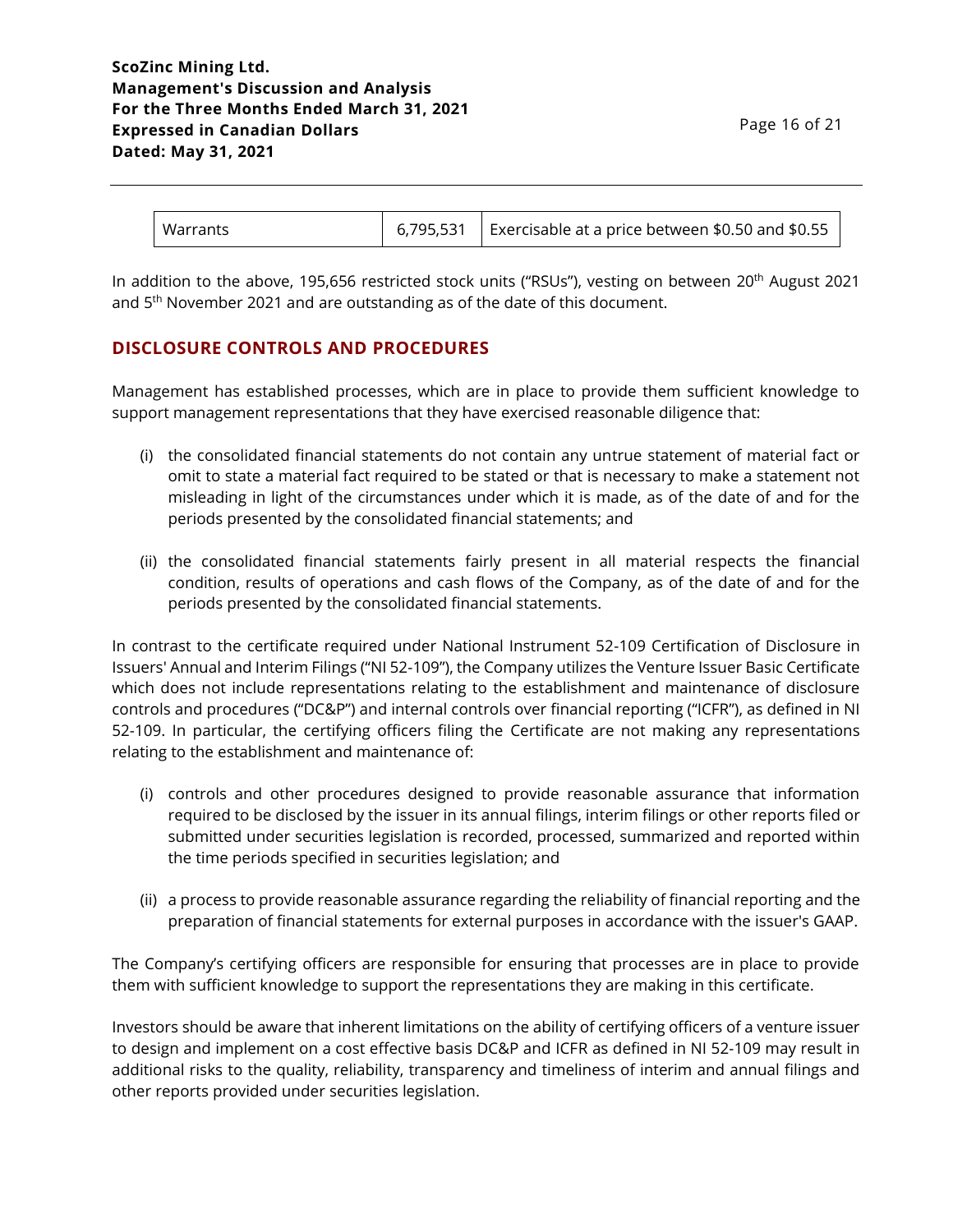| <b>Warrants</b> | 6,795,531 | Exercisable at a price between \$0.50 and \$0.55 |
|-----------------|-----------|--------------------------------------------------|
|-----------------|-----------|--------------------------------------------------|

In addition to the above, 195,656 restricted stock units ("RSUs"), vesting on between 20<sup>th</sup> August 2021 and 5<sup>th</sup> November 2021 and are outstanding as of the date of this document.

# **DISCLOSURE CONTROLS AND PROCEDURES**

Management has established processes, which are in place to provide them sufficient knowledge to support management representations that they have exercised reasonable diligence that:

- (i) the consolidated financial statements do not contain any untrue statement of material fact or omit to state a material fact required to be stated or that is necessary to make a statement not misleading in light of the circumstances under which it is made, as of the date of and for the periods presented by the consolidated financial statements; and
- (ii) the consolidated financial statements fairly present in all material respects the financial condition, results of operations and cash flows of the Company, as of the date of and for the periods presented by the consolidated financial statements.

In contrast to the certificate required under National Instrument 52-109 Certification of Disclosure in Issuers' Annual and Interim Filings ("NI 52-109"), the Company utilizes the Venture Issuer Basic Certificate which does not include representations relating to the establishment and maintenance of disclosure controls and procedures ("DC&P") and internal controls over financial reporting ("ICFR"), as defined in NI 52-109. In particular, the certifying officers filing the Certificate are not making any representations relating to the establishment and maintenance of:

- (i) controls and other procedures designed to provide reasonable assurance that information required to be disclosed by the issuer in its annual filings, interim filings or other reports filed or submitted under securities legislation is recorded, processed, summarized and reported within the time periods specified in securities legislation; and
- (ii) a process to provide reasonable assurance regarding the reliability of financial reporting and the preparation of financial statements for external purposes in accordance with the issuer's GAAP.

The Company's certifying officers are responsible for ensuring that processes are in place to provide them with sufficient knowledge to support the representations they are making in this certificate.

Investors should be aware that inherent limitations on the ability of certifying officers of a venture issuer to design and implement on a cost effective basis DC&P and ICFR as defined in NI 52-109 may result in additional risks to the quality, reliability, transparency and timeliness of interim and annual filings and other reports provided under securities legislation.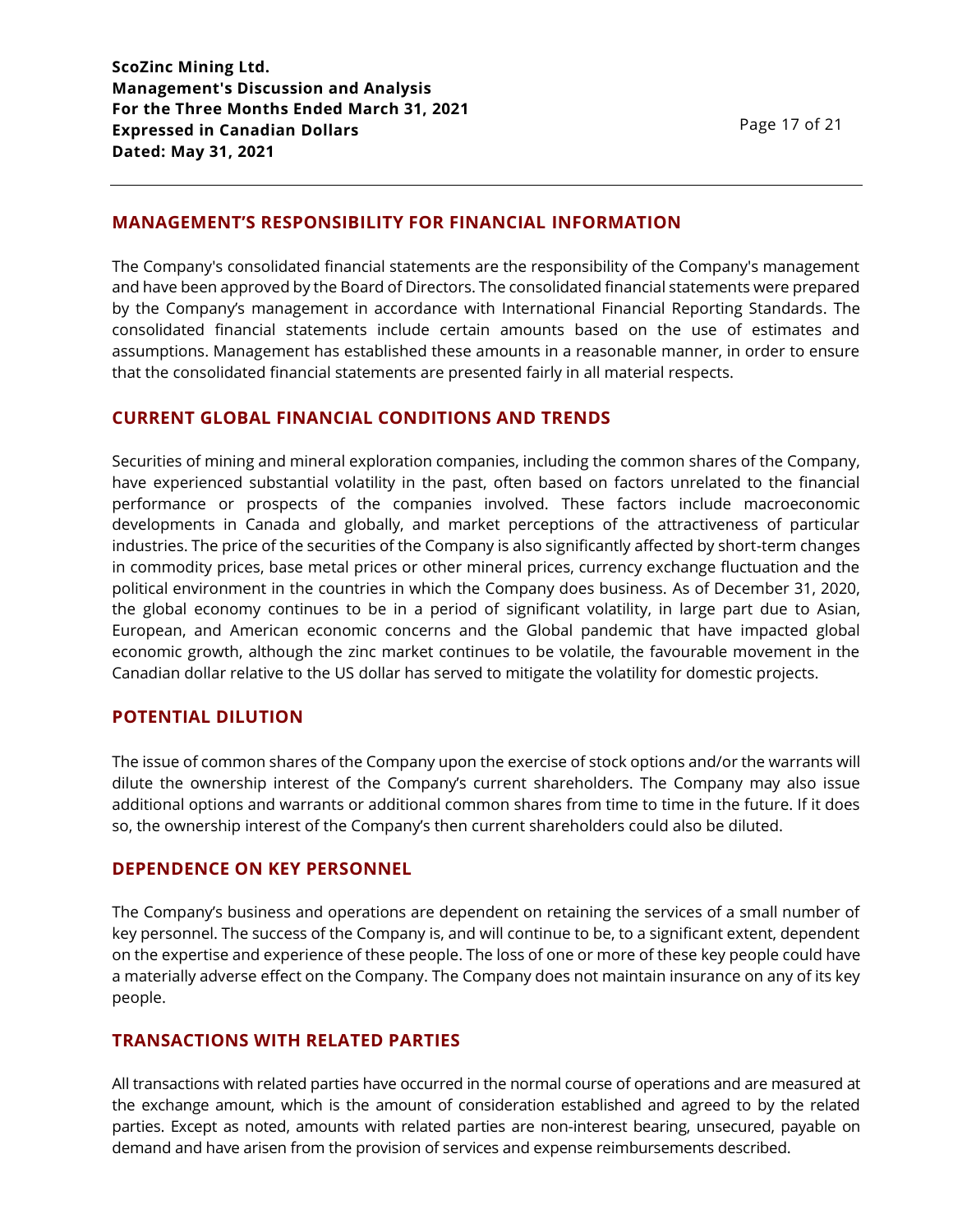# **MANAGEMENT'S RESPONSIBILITY FOR FINANCIAL INFORMATION**

The Company's consolidated financial statements are the responsibility of the Company's management and have been approved by the Board of Directors. The consolidated financial statements were prepared by the Company's management in accordance with International Financial Reporting Standards. The consolidated financial statements include certain amounts based on the use of estimates and assumptions. Management has established these amounts in a reasonable manner, in order to ensure that the consolidated financial statements are presented fairly in all material respects.

# **CURRENT GLOBAL FINANCIAL CONDITIONS AND TRENDS**

Securities of mining and mineral exploration companies, including the common shares of the Company, have experienced substantial volatility in the past, often based on factors unrelated to the financial performance or prospects of the companies involved. These factors include macroeconomic developments in Canada and globally, and market perceptions of the attractiveness of particular industries. The price of the securities of the Company is also significantly affected by short-term changes in commodity prices, base metal prices or other mineral prices, currency exchange fluctuation and the political environment in the countries in which the Company does business. As of December 31, 2020, the global economy continues to be in a period of significant volatility, in large part due to Asian, European, and American economic concerns and the Global pandemic that have impacted global economic growth, although the zinc market continues to be volatile, the favourable movement in the Canadian dollar relative to the US dollar has served to mitigate the volatility for domestic projects.

# **POTENTIAL DILUTION**

The issue of common shares of the Company upon the exercise of stock options and/or the warrants will dilute the ownership interest of the Company's current shareholders. The Company may also issue additional options and warrants or additional common shares from time to time in the future. If it does so, the ownership interest of the Company's then current shareholders could also be diluted.

# **DEPENDENCE ON KEY PERSONNEL**

The Company's business and operations are dependent on retaining the services of a small number of key personnel. The success of the Company is, and will continue to be, to a significant extent, dependent on the expertise and experience of these people. The loss of one or more of these key people could have a materially adverse effect on the Company. The Company does not maintain insurance on any of its key people.

# **TRANSACTIONS WITH RELATED PARTIES**

All transactions with related parties have occurred in the normal course of operations and are measured at the exchange amount, which is the amount of consideration established and agreed to by the related parties. Except as noted, amounts with related parties are non-interest bearing, unsecured, payable on demand and have arisen from the provision of services and expense reimbursements described.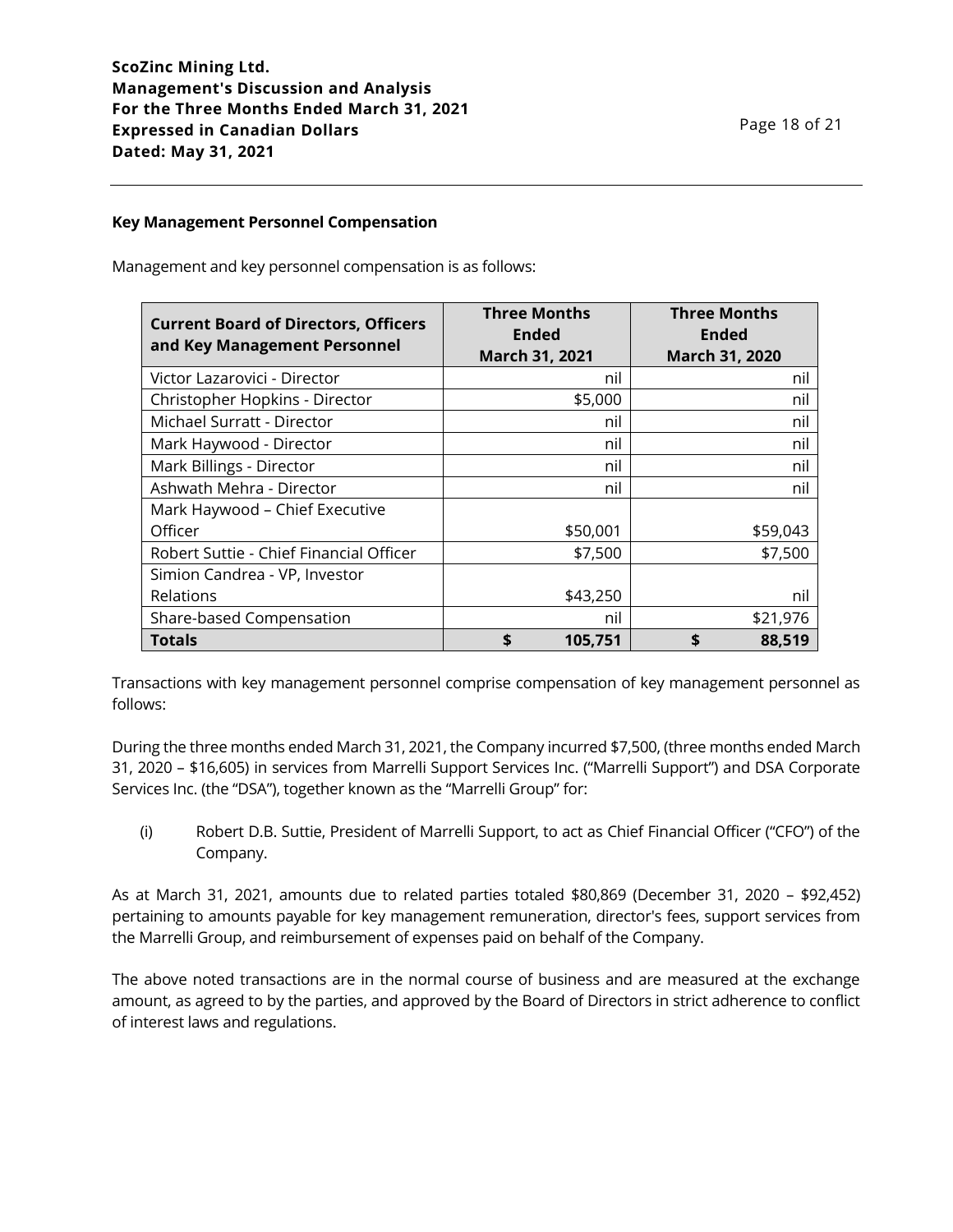#### **Key Management Personnel Compensation**

Management and key personnel compensation is as follows:

| <b>Current Board of Directors, Officers</b><br>and Key Management Personnel | <b>Three Months</b><br><b>Ended</b><br>March 31, 2021 | <b>Three Months</b><br><b>Ended</b><br>March 31, 2020 |
|-----------------------------------------------------------------------------|-------------------------------------------------------|-------------------------------------------------------|
| Victor Lazarovici - Director                                                | nil                                                   | nil                                                   |
| Christopher Hopkins - Director                                              | \$5,000                                               | nil                                                   |
| Michael Surratt - Director                                                  | nil                                                   | nil                                                   |
| Mark Haywood - Director                                                     | nil                                                   | nil                                                   |
| Mark Billings - Director                                                    | nil                                                   | nil                                                   |
| Ashwath Mehra - Director                                                    | nil                                                   | nil                                                   |
| Mark Haywood - Chief Executive                                              |                                                       |                                                       |
| Officer                                                                     | \$50,001                                              | \$59,043                                              |
| Robert Suttie - Chief Financial Officer                                     | \$7,500                                               | \$7,500                                               |
| Simion Candrea - VP, Investor                                               |                                                       |                                                       |
| Relations                                                                   | \$43,250                                              | nil                                                   |
| Share-based Compensation                                                    | nil                                                   | \$21,976                                              |
| <b>Totals</b>                                                               | \$<br>105,751                                         | 88,519                                                |

Transactions with key management personnel comprise compensation of key management personnel as follows:

During the three months ended March 31, 2021, the Company incurred \$7,500, (three months ended March 31, 2020 – \$16,605) in services from Marrelli Support Services Inc. ("Marrelli Support") and DSA Corporate Services Inc. (the "DSA"), together known as the "Marrelli Group" for:

(i) Robert D.B. Suttie, President of Marrelli Support, to act as Chief Financial Officer ("CFO") of the Company.

As at March 31, 2021, amounts due to related parties totaled \$80,869 (December 31, 2020 – \$92,452) pertaining to amounts payable for key management remuneration, director's fees, support services from the Marrelli Group, and reimbursement of expenses paid on behalf of the Company.

The above noted transactions are in the normal course of business and are measured at the exchange amount, as agreed to by the parties, and approved by the Board of Directors in strict adherence to conflict of interest laws and regulations.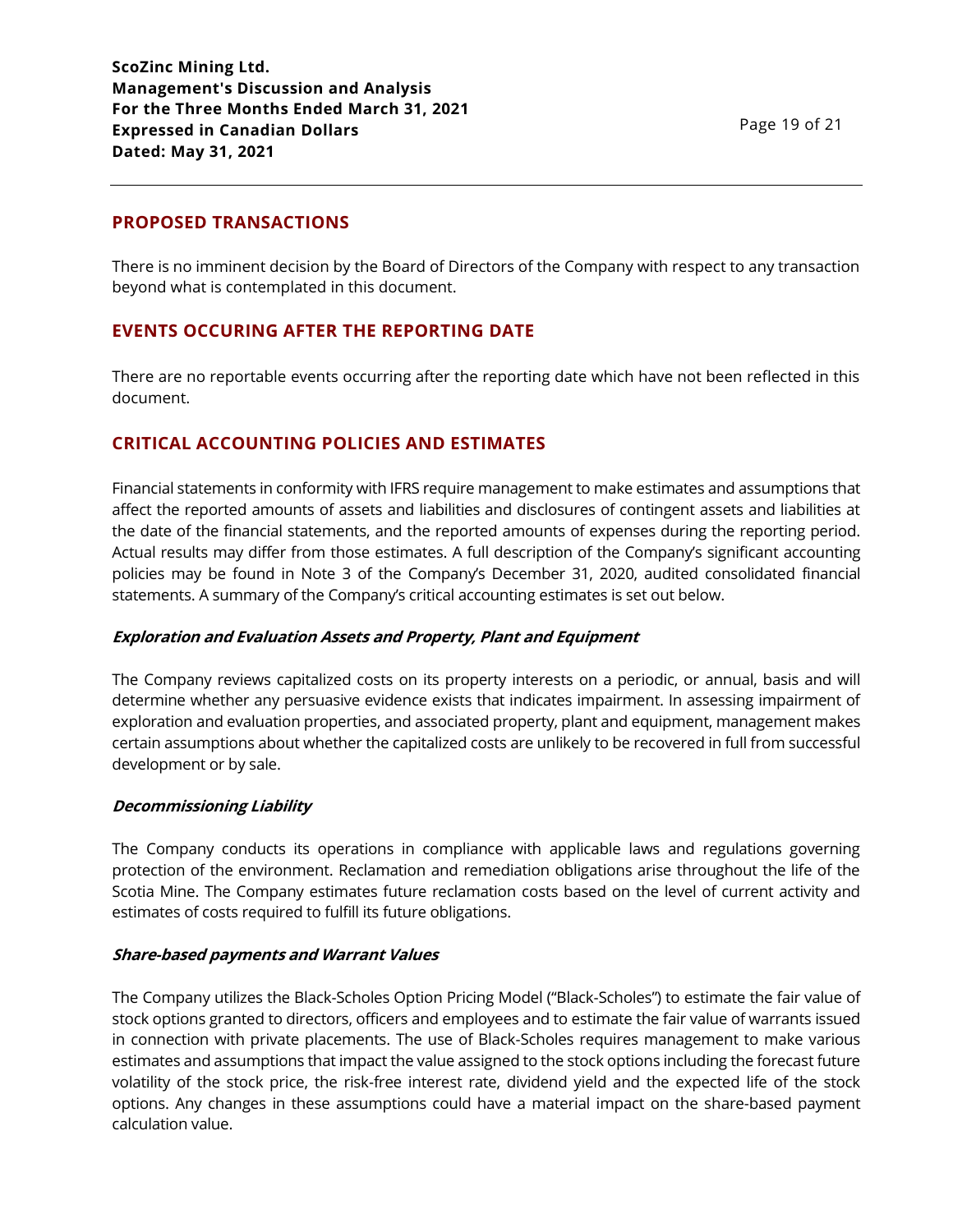### **PROPOSED TRANSACTIONS**

There is no imminent decision by the Board of Directors of the Company with respect to any transaction beyond what is contemplated in this document.

### **EVENTS OCCURING AFTER THE REPORTING DATE**

There are no reportable events occurring after the reporting date which have not been reflected in this document.

### **CRITICAL ACCOUNTING POLICIES AND ESTIMATES**

Financial statements in conformity with IFRS require management to make estimates and assumptions that affect the reported amounts of assets and liabilities and disclosures of contingent assets and liabilities at the date of the financial statements, and the reported amounts of expenses during the reporting period. Actual results may differ from those estimates. A full description of the Company's significant accounting policies may be found in Note 3 of the Company's December 31, 2020, audited consolidated financial statements. A summary of the Company's critical accounting estimates is set out below.

#### **Exploration and Evaluation Assets and Property, Plant and Equipment**

The Company reviews capitalized costs on its property interests on a periodic, or annual, basis and will determine whether any persuasive evidence exists that indicates impairment. In assessing impairment of exploration and evaluation properties, and associated property, plant and equipment, management makes certain assumptions about whether the capitalized costs are unlikely to be recovered in full from successful development or by sale.

#### **Decommissioning Liability**

The Company conducts its operations in compliance with applicable laws and regulations governing protection of the environment. Reclamation and remediation obligations arise throughout the life of the Scotia Mine. The Company estimates future reclamation costs based on the level of current activity and estimates of costs required to fulfill its future obligations.

#### **Share-based payments and Warrant Values**

The Company utilizes the Black-Scholes Option Pricing Model ("Black-Scholes") to estimate the fair value of stock options granted to directors, officers and employees and to estimate the fair value of warrants issued in connection with private placements. The use of Black-Scholes requires management to make various estimates and assumptions that impact the value assigned to the stock options including the forecast future volatility of the stock price, the risk-free interest rate, dividend yield and the expected life of the stock options. Any changes in these assumptions could have a material impact on the share-based payment calculation value.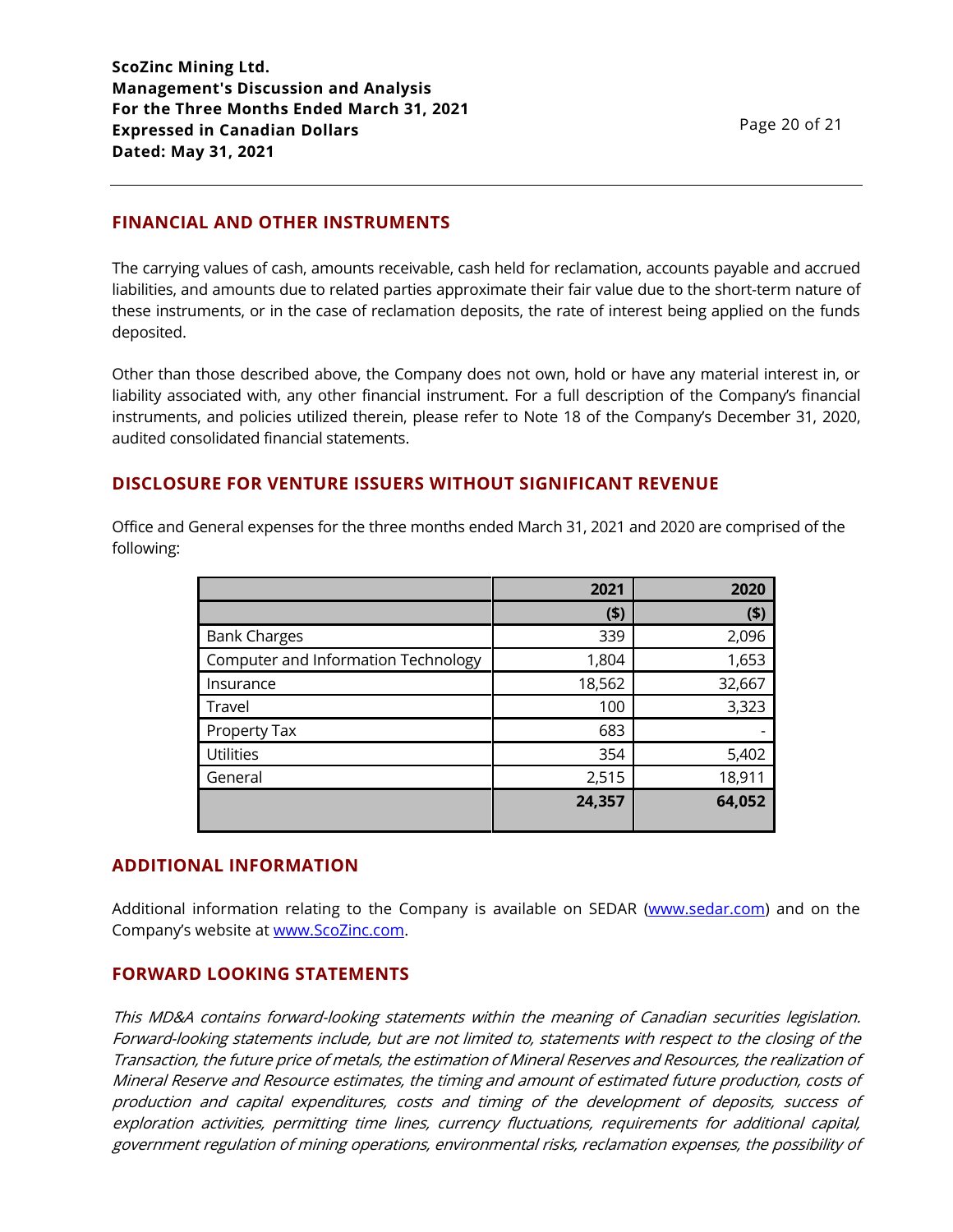# **FINANCIAL AND OTHER INSTRUMENTS**

The carrying values of cash, amounts receivable, cash held for reclamation, accounts payable and accrued liabilities, and amounts due to related parties approximate their fair value due to the short-term nature of these instruments, or in the case of reclamation deposits, the rate of interest being applied on the funds deposited.

Other than those described above, the Company does not own, hold or have any material interest in, or liability associated with, any other financial instrument. For a full description of the Company's financial instruments, and policies utilized therein, please refer to Note 18 of the Company's December 31, 2020, audited consolidated financial statements.

# **DISCLOSURE FOR VENTURE ISSUERS WITHOUT SIGNIFICANT REVENUE**

Office and General expenses for the three months ended March 31, 2021 and 2020 are comprised of the following:

|                                     | 2021   | 2020   |
|-------------------------------------|--------|--------|
|                                     | (5)    | (5)    |
| <b>Bank Charges</b>                 | 339    | 2,096  |
| Computer and Information Technology | 1,804  | 1,653  |
| Insurance                           | 18,562 | 32,667 |
| Travel                              | 100    | 3,323  |
| Property Tax                        | 683    |        |
| <b>Utilities</b>                    | 354    | 5,402  |
| General                             | 2,515  | 18,911 |
|                                     | 24,357 | 64,052 |

#### **ADDITIONAL INFORMATION**

Additional information relating to the Company is available on SEDAR [\(www.sedar.com\)](http://www.sedar.com/) and on the Company's website at [www.ScoZinc.com.](http://www.scozinc.com/)

#### **FORWARD LOOKING STATEMENTS**

This MD&A contains forward-looking statements within the meaning of Canadian securities legislation. Forward-looking statements include, but are not limited to, statements with respect to the closing of the Transaction, the future price of metals, the estimation of Mineral Reserves and Resources, the realization of Mineral Reserve and Resource estimates, the timing and amount of estimated future production, costs of production and capital expenditures, costs and timing of the development of deposits, success of exploration activities, permitting time lines, currency fluctuations, requirements for additional capital, government regulation of mining operations, environmental risks, reclamation expenses, the possibility of